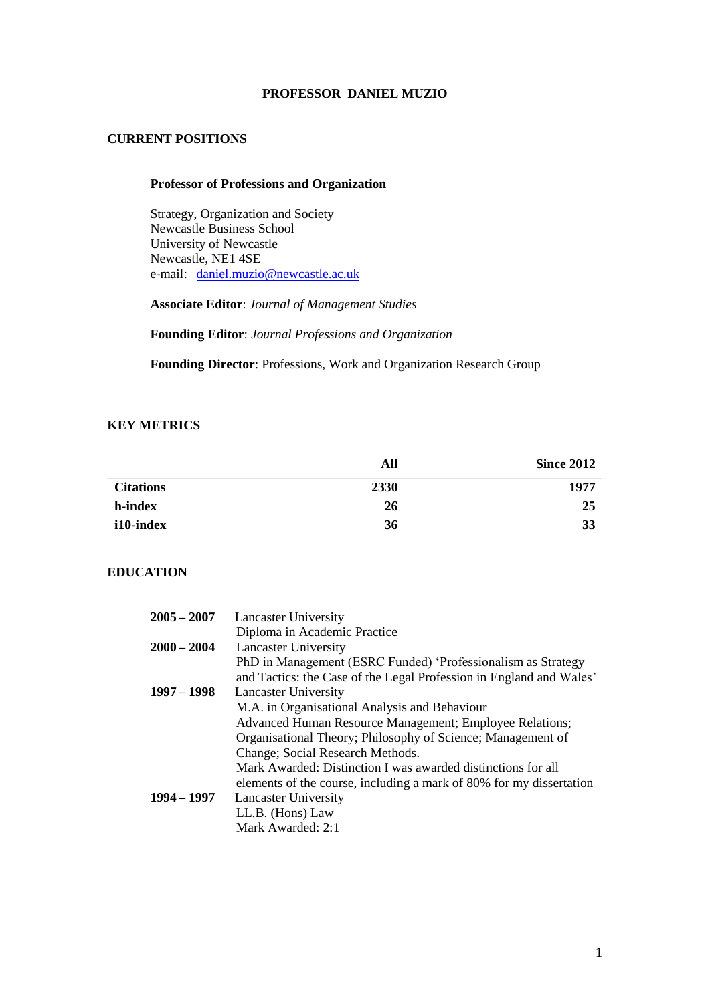#### **PROFESSOR DANIEL MUZIO**

### **CURRENT POSITIONS**

#### **Professor of Professions and Organization**

Strategy, Organization and Society Newcastle Business School University of Newcastle Newcastle, NE1 4SE e-mail: [daniel.muzio@newcastle.ac.uk](mailto:daniel.muzio@newcastle.ac.uk)

**Associate Editor**: *Journal of Management Studies*

**Founding Editor**: *Journal Professions and Organization*

**Founding Director**: Professions, Work and Organization Research Group

### **KEY METRICS**

|                  | All  | <b>Since 2012</b> |
|------------------|------|-------------------|
| <b>Citations</b> | 2330 | 1977              |
| h-index          | 26   | 25                |
| i10-index        | 36   | 33                |

### **EDUCATION**

| $2005 - 2007$ | <b>Lancaster University</b>                                         |
|---------------|---------------------------------------------------------------------|
|               | Diploma in Academic Practice                                        |
| $2000 - 2004$ | <b>Lancaster University</b>                                         |
|               | PhD in Management (ESRC Funded) 'Professionalism as Strategy        |
|               | and Tactics: the Case of the Legal Profession in England and Wales' |
| $1997 - 1998$ | <b>Lancaster University</b>                                         |
|               | M.A. in Organisational Analysis and Behaviour                       |
|               | Advanced Human Resource Management; Employee Relations;             |
|               | Organisational Theory; Philosophy of Science; Management of         |
|               | Change; Social Research Methods.                                    |
|               | Mark Awarded: Distinction I was awarded distinctions for all        |
|               | elements of the course, including a mark of 80% for my dissertation |
| $1994 - 1997$ | <b>Lancaster University</b>                                         |
|               | LL.B. (Hons) Law                                                    |
|               | Mark Awarded: 2:1                                                   |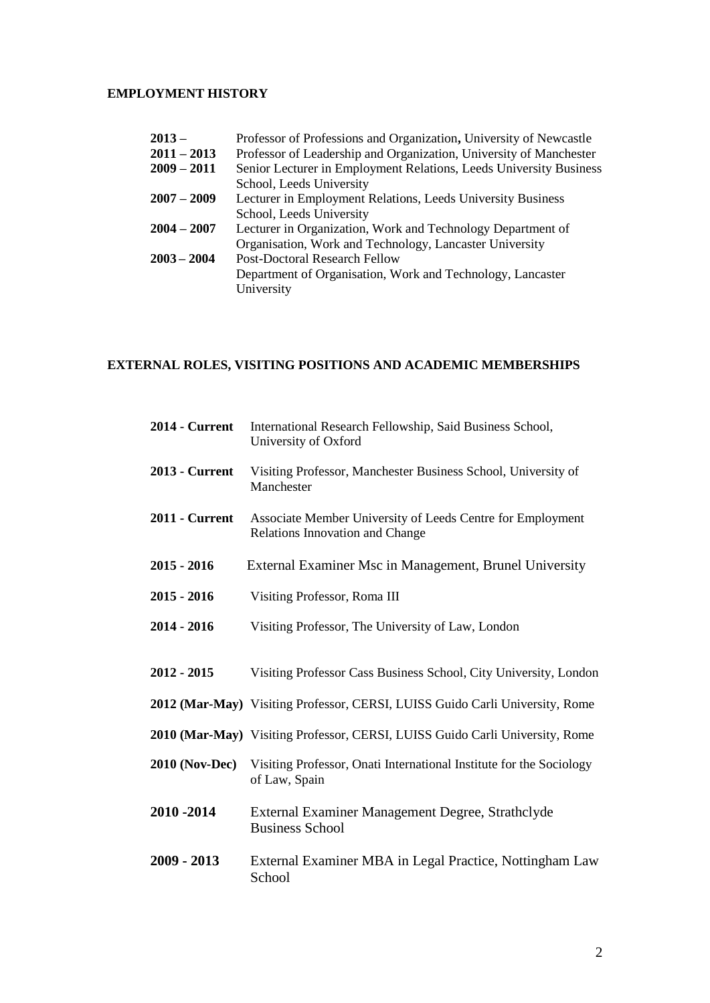## **EMPLOYMENT HISTORY**

| $2013 -$      | Professor of Professions and Organization, University of Newcastle |
|---------------|--------------------------------------------------------------------|
| $2011 - 2013$ | Professor of Leadership and Organization, University of Manchester |
| $2009 - 2011$ | Senior Lecturer in Employment Relations, Leeds University Business |
|               | School, Leeds University                                           |
| $2007 - 2009$ | Lecturer in Employment Relations, Leeds University Business        |
|               | School, Leeds University                                           |
| $2004 - 2007$ | Lecturer in Organization, Work and Technology Department of        |
|               | Organisation, Work and Technology, Lancaster University            |
| $2003 - 2004$ | <b>Post-Doctoral Research Fellow</b>                               |
|               | Department of Organisation, Work and Technology, Lancaster         |
|               | University                                                         |
|               |                                                                    |
|               |                                                                    |

# **EXTERNAL ROLES, VISITING POSITIONS AND ACADEMIC MEMBERSHIPS**

| <b>2014 - Current</b> | International Research Fellowship, Said Business School,<br>University of Oxford              |
|-----------------------|-----------------------------------------------------------------------------------------------|
| 2013 - Current        | Visiting Professor, Manchester Business School, University of<br>Manchester                   |
| 2011 - Current        | Associate Member University of Leeds Centre for Employment<br>Relations Innovation and Change |
| 2015 - 2016           | External Examiner Msc in Management, Brunel University                                        |
| 2015 - 2016           | Visiting Professor, Roma III                                                                  |
| 2014 - 2016           | Visiting Professor, The University of Law, London                                             |
| 2012 - 2015           | Visiting Professor Cass Business School, City University, London                              |
|                       | 2012 (Mar-May) Visiting Professor, CERSI, LUISS Guido Carli University, Rome                  |
|                       | 2010 (Mar-May) Visiting Professor, CERSI, LUISS Guido Carli University, Rome                  |
| <b>2010 (Nov-Dec)</b> | Visiting Professor, Onati International Institute for the Sociology<br>of Law, Spain          |
| 2010 -2014            | External Examiner Management Degree, Strathclyde<br><b>Business School</b>                    |
| 2009 - 2013           | External Examiner MBA in Legal Practice, Nottingham Law<br>School                             |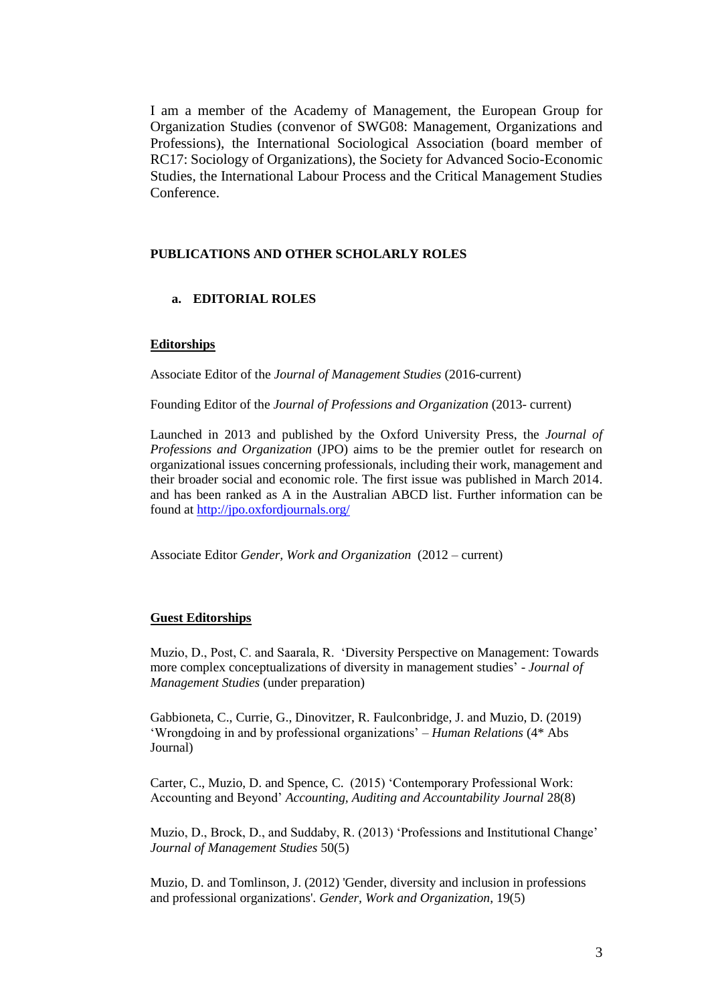I am a member of the Academy of Management, the European Group for Organization Studies (convenor of SWG08: Management, Organizations and Professions), the International Sociological Association (board member of RC17: Sociology of Organizations), the Society for Advanced Socio-Economic Studies, the International Labour Process and the Critical Management Studies Conference.

### **PUBLICATIONS AND OTHER SCHOLARLY ROLES**

### **a. EDITORIAL ROLES**

#### **Editorships**

Associate Editor of the *Journal of Management Studies* (2016-current)

Founding Editor of the *Journal of Professions and Organization* (2013- current)

Launched in 2013 and published by the Oxford University Press, the *Journal of Professions and Organization* (JPO) aims to be the premier outlet for research on organizational issues concerning professionals, including their work, management and their broader social and economic role. The first issue was published in March 2014. and has been ranked as A in the Australian ABCD list. Further information can be found at<http://jpo.oxfordjournals.org/>

Associate Editor *Gender, Work and Organization* (2012 – current)

#### **Guest Editorships**

Muzio, D., Post, C. and Saarala, R. 'Diversity Perspective on Management: Towards more complex conceptualizations of diversity in management studies' - *Journal of Management Studies* (under preparation)

Gabbioneta, C., Currie, G., Dinovitzer, R. Faulconbridge, J. and Muzio, D. (2019) 'Wrongdoing in and by professional organizations' – *Human Relations* (4\* Abs Journal)

Carter, C., Muzio, D. and Spence, C. (2015) 'Contemporary Professional Work: Accounting and Beyond' *Accounting, Auditing and Accountability Journal* 28(8)

Muzio, D., Brock, D., and Suddaby, R. (2013) 'Professions and Institutional Change' *Journal of Management Studies* 50(5)

Muzio, D. and Tomlinson, J. (2012) 'Gender, diversity and inclusion in professions and professional organizations'. *Gender, Work and Organization*, 19(5)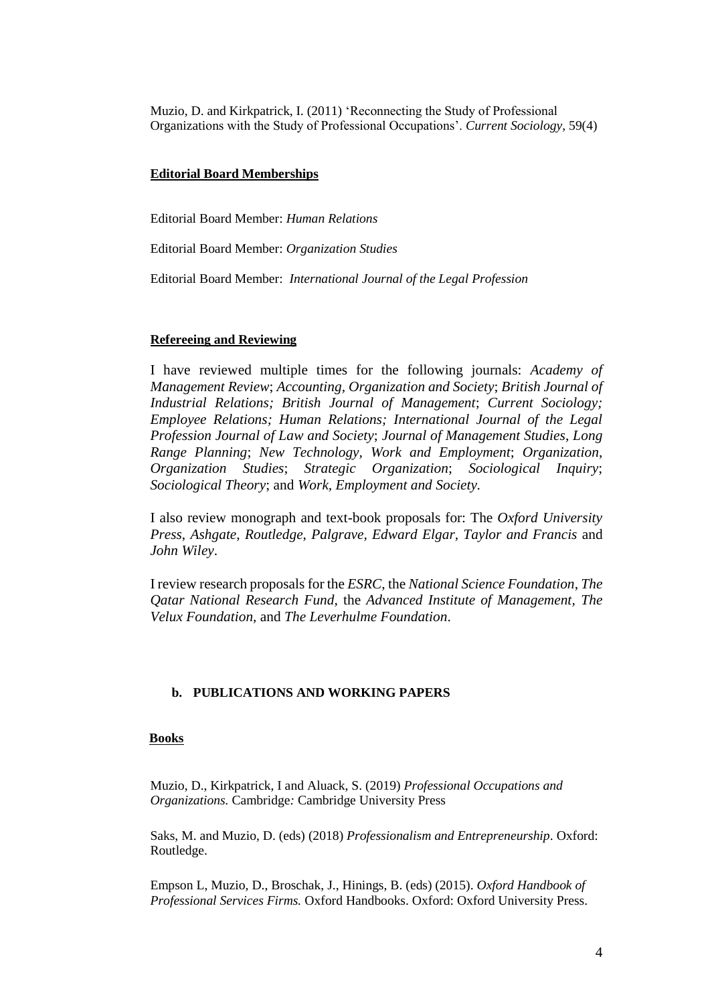Muzio, D. and Kirkpatrick, I. (2011) 'Reconnecting the Study of Professional Organizations with the Study of Professional Occupations'. *Current Sociology*, 59(4)

#### **Editorial Board Memberships**

Editorial Board Member: *Human Relations*

Editorial Board Member: *Organization Studies*

Editorial Board Member: *International Journal of the Legal Profession*

#### **Refereeing and Reviewing**

I have reviewed multiple times for the following journals: *Academy of Management Review*; *Accounting, Organization and Society*; *British Journal of Industrial Relations; British Journal of Management*; *Current Sociology; Employee Relations; Human Relations; International Journal of the Legal Profession Journal of Law and Society*; *Journal of Management Studies*, *Long Range Planning*; *New Technology, Work and Employment*; *Organization*, *Organization Studies*; *Strategic Organization*; *Sociological Inquiry*; *Sociological Theory*; and *Work, Employment and Society.*

I also review monograph and text-book proposals for: The *Oxford University Press*, *Ashgate*, *Routledge*, *Palgrave, Edward Elgar, Taylor and Francis* and *John Wiley*.

I review research proposals for the *ESRC*, the *National Science Foundation*, *The Qatar National Research Fund*, the *Advanced Institute of Management, The Velux Foundation,* and *The Leverhulme Foundation*.

#### **b. PUBLICATIONS AND WORKING PAPERS**

#### **Books**

Muzio, D., Kirkpatrick, I and Aluack, S. (2019) *Professional Occupations and Organizations.* Cambridge*:* Cambridge University Press

Saks, M. and Muzio, D. (eds) (2018) *Professionalism and Entrepreneurship*. Oxford: Routledge.

Empson L, Muzio, D., Broschak, J., Hinings, B. (eds) (2015). *Oxford Handbook of Professional Services Firms.* Oxford Handbooks. Oxford: Oxford University Press.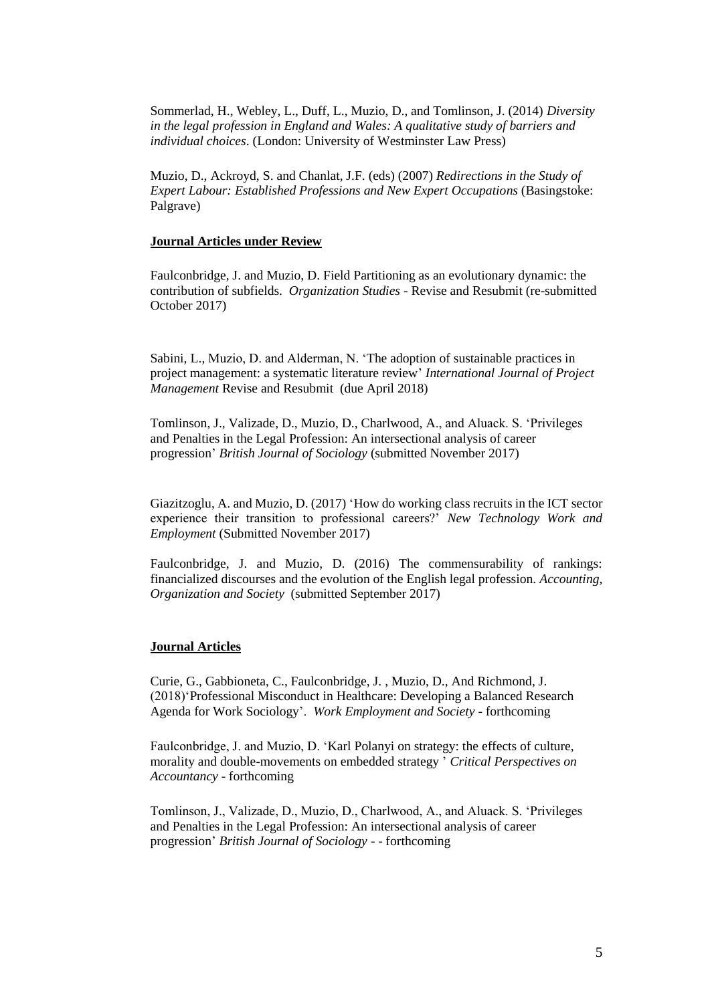Sommerlad, H., Webley, L., Duff, L., Muzio, D., and Tomlinson, J. (2014) *Diversity in the legal profession in England and Wales: A qualitative study of barriers and individual choices*. (London: University of Westminster Law Press)

Muzio, D., Ackroyd, S. and Chanlat, J.F. (eds) (2007) *Redirections in the Study of Expert Labour: Established Professions and New Expert Occupations* (Basingstoke: Palgrave)

#### **Journal Articles under Review**

Faulconbridge, J. and Muzio, D. Field Partitioning as an evolutionary dynamic: the contribution of subfields. *Organization Studies -* Revise and Resubmit (re-submitted October 2017)

Sabini, L., Muzio, D. and Alderman, N. 'The adoption of sustainable practices in project management: a systematic literature review' *International Journal of Project Management* Revise and Resubmit (due April 2018)

Tomlinson, J., Valizade, D., Muzio, D., Charlwood, A., and Aluack. S. 'Privileges and Penalties in the Legal Profession: An intersectional analysis of career progression' *British Journal of Sociology* (submitted November 2017)

Giazitzoglu, A. and Muzio, D. (2017) 'How do working class recruits in the ICT sector experience their transition to professional careers?' *New Technology Work and Employment* (Submitted November 2017)

Faulconbridge, J. and Muzio, D. (2016) The commensurability of rankings: financialized discourses and the evolution of the English legal profession. *Accounting, Organization and Society* (submitted September 2017)

#### **Journal Articles**

Curie, G., Gabbioneta, C., Faulconbridge, J. , Muzio, D., And Richmond, J. (2018)'Professional Misconduct in Healthcare: Developing a Balanced Research Agenda for Work Sociology'. *Work Employment and Society* - forthcoming

Faulconbridge, J. and Muzio, D. 'Karl Polanyi on strategy: the effects of culture, morality and double-movements on embedded strategy ' *Critical Perspectives on Accountancy* - forthcoming

Tomlinson, J., Valizade, D., Muzio, D., Charlwood, A., and Aluack. S. 'Privileges and Penalties in the Legal Profession: An intersectional analysis of career progression' *British Journal of Sociology* - - forthcoming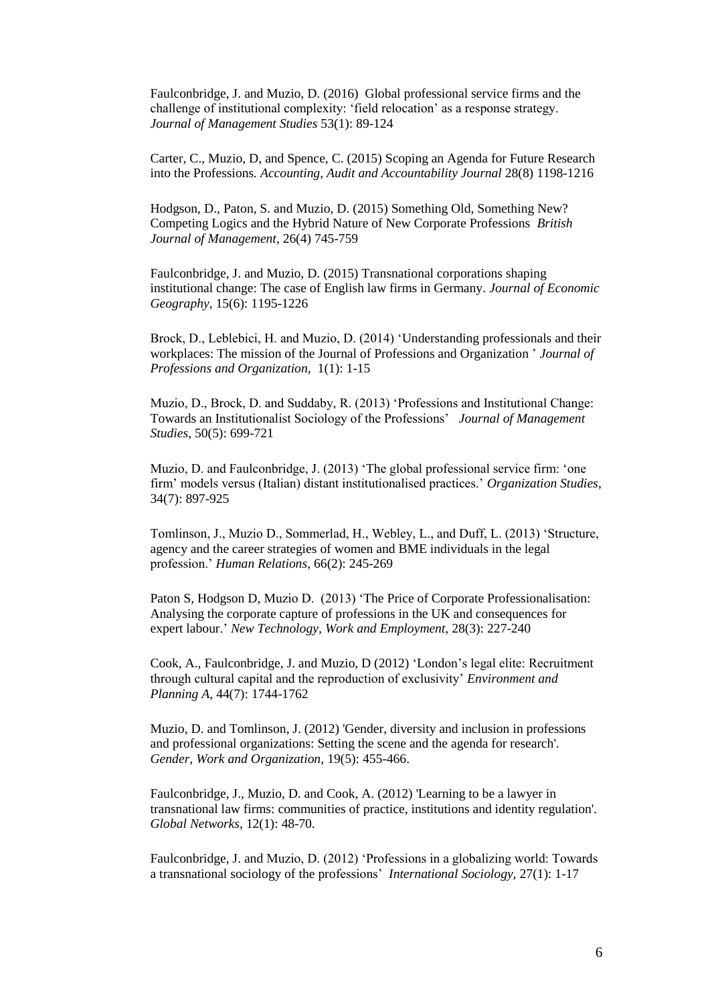Faulconbridge, J. and Muzio, D. (2016) Global professional service firms and the challenge of institutional complexity: 'field relocation' as a response strategy. *Journal of Management Studies* 53(1): 89-124

Carter, C., Muzio, D, and Spence, C. (2015) [Scoping an Agenda for Future Research](http://www.emeraldinsight.com/doi/pdfplus/10.1108/AAAJ-09-2015-2235)  [into the Professions](http://www.emeraldinsight.com/doi/pdfplus/10.1108/AAAJ-09-2015-2235)*. Accounting, Audit and Accountability Journal* 28(8) 1198-1216

Hodgson, D., Paton, S. and Muzio, D. (2015) [Something Old, Something New?](http://onlinelibrary.wiley.com/doi/10.1111/1467-8551.12105/abstract)  [Competing Logics and the Hybrid Nature of New Corporate Professions](http://onlinelibrary.wiley.com/doi/10.1111/1467-8551.12105/abstract) *British Journal of Management*, 26(4) 745-759

Faulconbridge, J. and Muzio, D. (2015) [Transnational corporations shaping](http://www.ncl.ac.uk/nubs/research/publication/206290)  [institutional change: The case of English law firms in Germany.](http://www.ncl.ac.uk/nubs/research/publication/206290) *Journal of Economic Geography*, 15(6): 1195-1226

Brock, D., Leblebici, H. and Muzio, D. (2014) ['Understanding professionals and their](https://www.researchgate.net/publication/260197758_Understanding_professionals_and_their_workplaces_The_mission_of_the_Journal_of_Professions_and_Organization)  [workplaces: The mission of the Journal of Professions and Organization '](https://www.researchgate.net/publication/260197758_Understanding_professionals_and_their_workplaces_The_mission_of_the_Journal_of_Professions_and_Organization) *Journal of Professions and Organization,* 1(1): 1-15

Muzio, D., Brock, D. and Suddaby, R. (2013) 'Professions and Institutional Change: Towards an Institutionalist Sociology of the Professions' *Journal of Management Studies*, 50(5): 699-721

Muzio, D. and Faulconbridge, J. (2013) 'The global professional service firm: 'one firm' models versus (Italian) distant institutionalised practices.' *Organization Studies*, 34(7): 897-925

Tomlinson, J., Muzio D., Sommerlad, H., Webley, L., and Duff, L. (2013) 'Structure, agency and the career strategies of women and BME individuals in the legal profession.' *Human Relations*, 66(2): 245-269

Paton S, Hodgson D, Muzio D. (2013) ['The Price of Corporate Professionalisation:](http://www.ncl.ac.uk/nubs/research/publication/195435)  [Analysing the corporate capture of professions in the UK and consequences for](http://www.ncl.ac.uk/nubs/research/publication/195435)  [expert labour.](http://www.ncl.ac.uk/nubs/research/publication/195435)' *New Technology, Work and Employment*, 28(3): 227-240

Cook, A., Faulconbridge, J. and Muzio, D (2012) 'London's legal elite: Recruitment through cultural capital and the reproduction of exclusivity' *Environment and Planning A*, 44(7): 1744-1762

Muzio, D. and Tomlinson, J. (2012) 'Gender, diversity and inclusion in professions and professional organizations: Setting the scene and the agenda for research'. *Gender, Work and Organization,* 19(5): 455-466.

Faulconbridge, J., Muzio, D. and Cook, A. (2012) 'Learning to be a lawyer in transnational law firms: communities of practice, institutions and identity regulation'. *Global Networks*, 12(1): 48-70.

Faulconbridge, J. and Muzio, D. (2012) 'Professions in a globalizing world: Towards a transnational sociology of the professions' *International Sociology,* 27(1): 1-17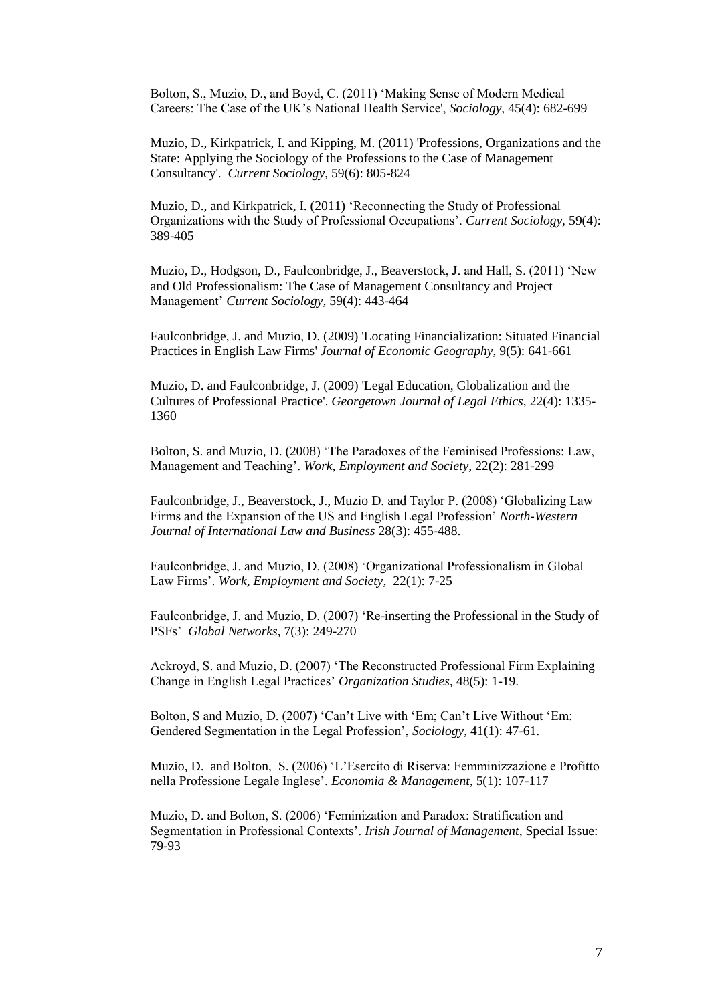Bolton, S., Muzio, D., and Boyd, C. (2011) 'Making Sense of Modern Medical Careers: The Case of the UK's National Health Service', *Sociology*, 45(4): 682-699

Muzio, D., Kirkpatrick, I. and Kipping, M. (2011) 'Professions, Organizations and the State: Applying the Sociology of the Professions to the Case of Management Consultancy'. *Current Sociology*, 59(6): 805-824

Muzio, D., and Kirkpatrick, I. (2011) 'Reconnecting the Study of Professional Organizations with the Study of Professional Occupations'. *Current Sociology,* 59(4): 389-405

Muzio, D., Hodgson, D., Faulconbridge, J., Beaverstock, J. and Hall, S. (2011) 'New and Old Professionalism: The Case of Management Consultancy and Project Management' *Current Sociology,* 59(4): 443-464

Faulconbridge, J. and Muzio, D. (2009) 'Locating Financialization: Situated Financial Practices in English Law Firms' *Journal of Economic Geography*, 9(5): 641-661

Muzio, D. and Faulconbridge, J. (2009) 'Legal Education, Globalization and the Cultures of Professional Practice'. *Georgetown Journal of Legal Ethics*, 22(4): 1335- 1360

Bolton, S. and Muzio, D. (2008) 'The Paradoxes of the Feminised Professions: Law, Management and Teaching'. *Work, Employment and Society,* 22(2): 281-299

Faulconbridge, J., Beaverstock, J., Muzio D. and Taylor P. (2008) 'Globalizing Law Firms and the Expansion of the US and English Legal Profession' *North-Western Journal of International Law and Business* 28(3): 455-488.

Faulconbridge, J. and Muzio, D. (2008) 'Organizational Professionalism in Global Law Firms'. *Work, Employment and Society,* 22(1): 7-25

Faulconbridge, J. and Muzio, D. (2007) 'Re-inserting the Professional in the Study of PSFs' *Global Networks*, 7(3): 249-270

Ackroyd, S. and Muzio, D. (2007) 'The Reconstructed Professional Firm Explaining Change in English Legal Practices' *Organization Studies*, 48(5): 1-19.

Bolton, S and Muzio, D. (2007) 'Can't Live with 'Em; Can't Live Without 'Em: Gendered Segmentation in the Legal Profession', *Sociology*, 41(1): 47-61.

Muzio, D. and Bolton, S. (2006) 'L'Esercito di Riserva: Femminizzazione e Profitto nella Professione Legale Inglese'. *Economia & Management*, 5(1): 107-117

Muzio, D. and Bolton, S. (2006) 'Feminization and Paradox: Stratification and Segmentation in Professional Contexts'. *Irish Journal of Management*, Special Issue: 79-93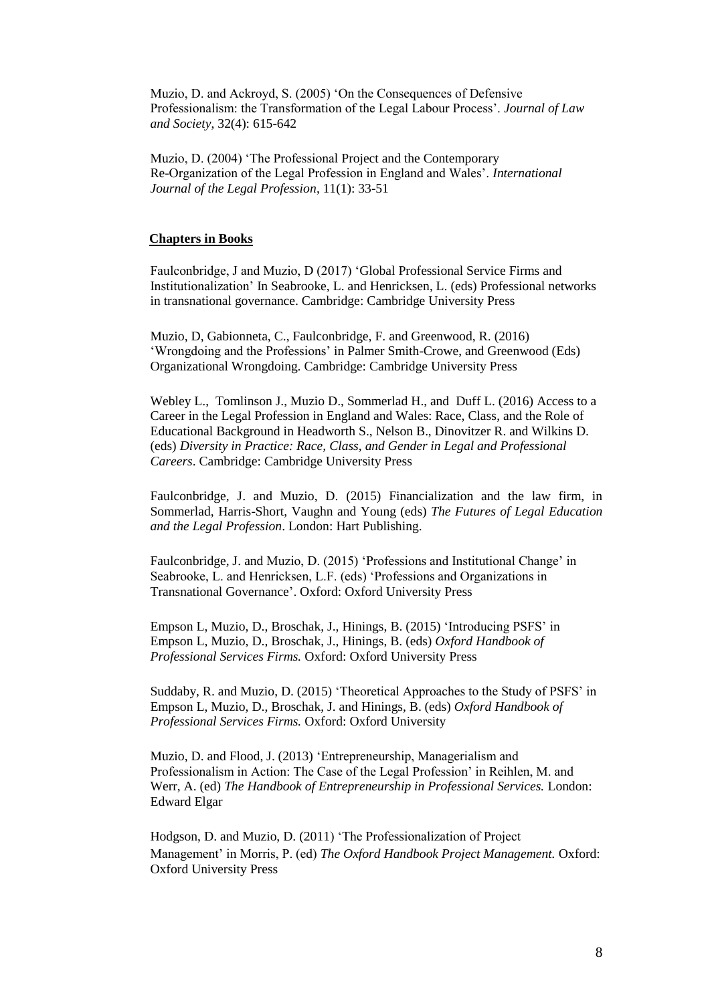Muzio, D. and Ackroyd, S. (2005) 'On the Consequences of Defensive Professionalism: the Transformation of the Legal Labour Process'. *Journal of Law and Society*, 32(4): 615-642

Muzio, D. (2004) 'The Professional Project and the Contemporary Re-Organization of the Legal Profession in England and Wales'. *International Journal of the Legal Profession*, 11(1): 33-51

#### **Chapters in Books**

Faulconbridge, J and Muzio, D (2017) 'Global Professional Service Firms and Institutionalization' In Seabrooke, L. and Henricksen, L. (eds) Professional networks in transnational governance. Cambridge: Cambridge University Press

Muzio, D, Gabionneta, C., Faulconbridge, F. and Greenwood, R. (2016) 'Wrongdoing and the Professions' in Palmer Smith-Crowe, and Greenwood (Eds) Organizational Wrongdoing. Cambridge: Cambridge University Press

Webley L., Tomlinson J., Muzio D., Sommerlad H., and Duff L. (2016) Access to a Career in the Legal Profession in England and Wales: Race, Class, and the Role of Educational Background in Headworth S., Nelson B., Dinovitzer R. and Wilkins D. (eds) *Diversity in Practice: Race, Class, and Gender in Legal and Professional Careers*. Cambridge: Cambridge University Press

Faulconbridge, J. and Muzio, D. (2015) Financialization and the law firm, in Sommerlad, Harris-Short, Vaughn and Young (eds) *The Futures of Legal Education and the Legal Profession*. London: Hart Publishing.

Faulconbridge, J. and Muzio, D. (2015) 'Professions and Institutional Change' in Seabrooke, L. and Henricksen, L.F. (eds) 'Professions and Organizations in Transnational Governance'. Oxford: Oxford University Press

Empson L, Muzio, D., Broschak, J., Hinings, B. (2015) 'Introducing PSFS' in Empson L, Muzio, D., Broschak, J., Hinings, B. (eds) *Oxford Handbook of Professional Services Firms.* Oxford: Oxford University Press

Suddaby, R. and Muzio, D. (2015) 'Theoretical Approaches to the Study of PSFS' in Empson L, Muzio, D., Broschak, J. and Hinings, B. (eds) *Oxford Handbook of Professional Services Firms.* Oxford: Oxford University

Muzio, D. and Flood, J. (2013) 'Entrepreneurship, Managerialism and Professionalism in Action: The Case of the Legal Profession' in Reihlen, M. and Werr, A. (ed) *The Handbook of Entrepreneurship in Professional Services.* London: Edward Elgar

Hodgson, D. and Muzio, D. (2011) 'The Professionalization of Project Management' in Morris, P. (ed) *The Oxford Handbook Project Management.* Oxford: Oxford University Press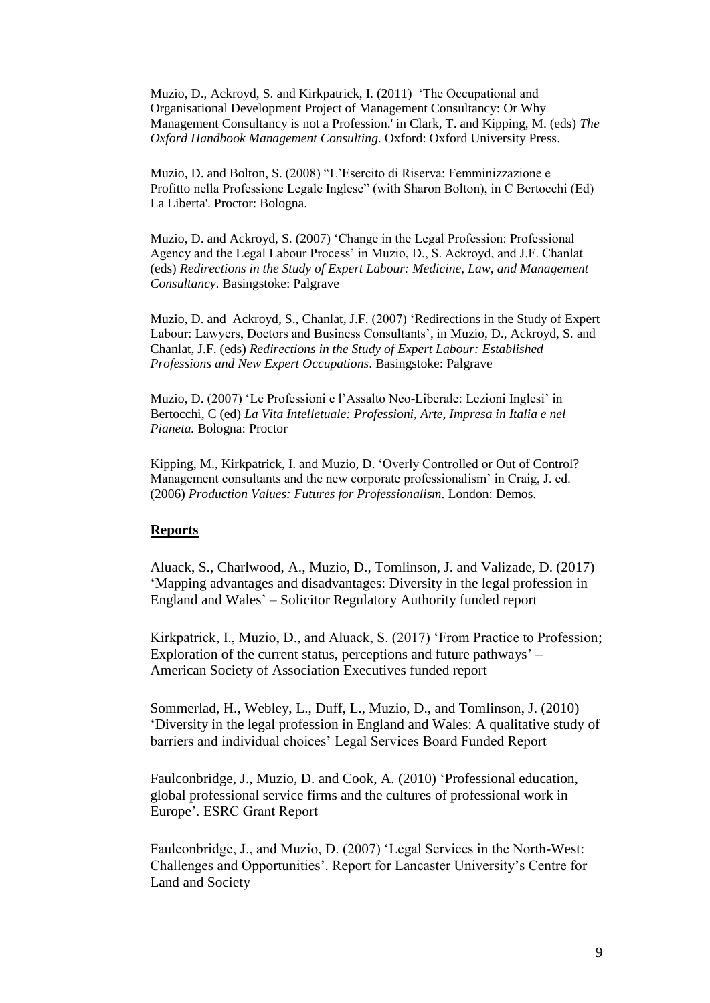Muzio, D., Ackroyd, S. and Kirkpatrick, I. (2011) 'The Occupational and Organisational Development Project of Management Consultancy: Or Why Management Consultancy is not a Profession.' in Clark, T. and Kipping, M. (eds) *The Oxford Handbook Management Consulting*. Oxford: Oxford University Press.

Muzio, D. and Bolton, S. (2008) "L'Esercito di Riserva: Femminizzazione e Profitto nella Professione Legale Inglese" (with Sharon Bolton), in C Bertocchi (Ed) La Liberta'. Proctor: Bologna.

Muzio, D. and Ackroyd, S. (2007) 'Change in the Legal Profession: Professional Agency and the Legal Labour Process' in Muzio, D., S. Ackroyd, and J.F. Chanlat (eds) *Redirections in the Study of Expert Labour: Medicine, Law, and Management Consultancy*. Basingstoke: Palgrave

Muzio, D. and Ackroyd, S., Chanlat, J.F. (2007) 'Redirections in the Study of Expert Labour: Lawyers, Doctors and Business Consultants', in Muzio, D., Ackroyd, S. and Chanlat, J.F. (eds) *Redirections in the Study of Expert Labour: Established Professions and New Expert Occupations*. Basingstoke: Palgrave

Muzio, D. (2007) 'Le Professioni e l'Assalto Neo-Liberale: Lezioni Inglesi' in Bertocchi, C (ed) *La Vita Intelletuale: Professioni, Arte, Impresa in Italia e nel Pianeta.* Bologna: Proctor

Kipping, M., Kirkpatrick, I. and Muzio, D. 'Overly Controlled or Out of Control? Management consultants and the new corporate professionalism' in Craig, J. ed. (2006) *Production Values: Futures for Professionalism*. London: Demos.

## **Reports**

Aluack, S., Charlwood, A., Muzio, D., Tomlinson, J. and Valizade, D. (2017) ['Mapping advantages and disadvantages: Diversity in the legal profession in](https://www.sra.org.uk/documents/SRA/research/diversity-legal-profession.pdf)  [England and Wales'](https://www.sra.org.uk/documents/SRA/research/diversity-legal-profession.pdf) – Solicitor Regulatory Authority funded report

Kirkpatrick, I., Muzio, D., and Aluack, S. (2017) 'From Practice to Profession; Exploration of the current status, perceptions and future pathways' – American Society of Association Executives funded report

Sommerlad, H., Webley, L., Duff, L., Muzio, D., and Tomlinson, J. (2010) 'Diversity in the legal profession in England and Wales: A qualitative study of barriers and individual choices' Legal Services Board Funded Report

Faulconbridge, J., Muzio, D. and Cook, A. (2010) 'Professional education, global professional service firms and the cultures of professional work in Europe'. ESRC Grant Report

Faulconbridge, J., and Muzio, D. (2007) 'Legal Services in the North-West: Challenges and Opportunities'. Report for Lancaster University's Centre for Land and Society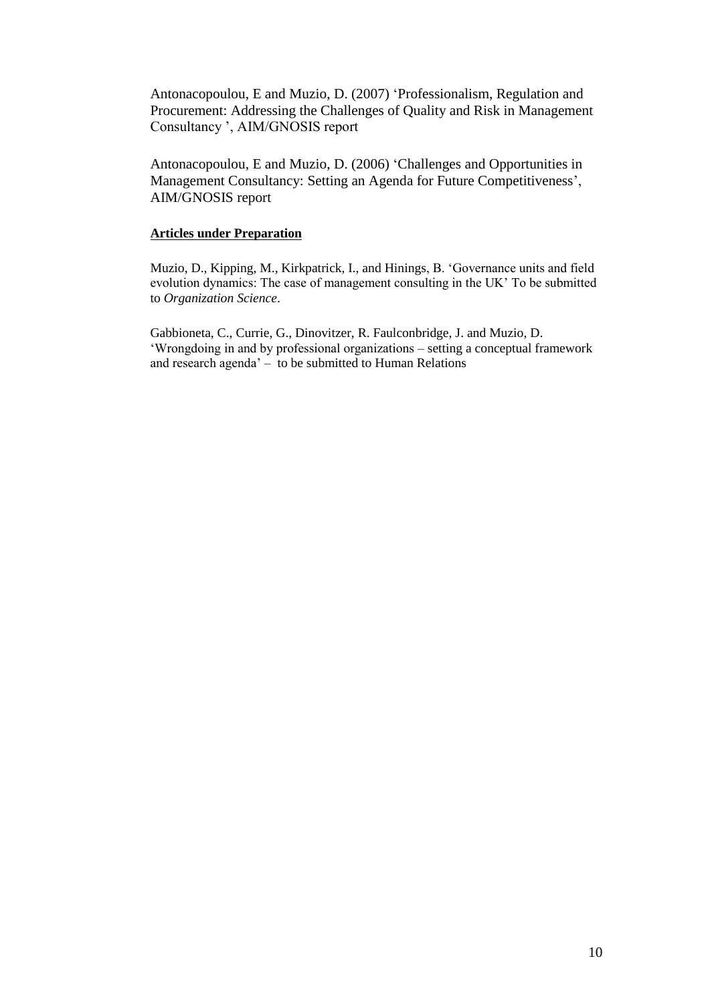Antonacopoulou, E and Muzio, D. (2007) 'Professionalism, Regulation and Procurement: Addressing the Challenges of Quality and Risk in Management Consultancy ', AIM/GNOSIS report

Antonacopoulou, E and Muzio, D. (2006) 'Challenges and Opportunities in Management Consultancy: Setting an Agenda for Future Competitiveness', AIM/GNOSIS report

### **Articles under Preparation**

Muzio, D., Kipping, M., Kirkpatrick, I., and Hinings, B. 'Governance units and field evolution dynamics: The case of management consulting in the UK' To be submitted to *Organization Science*.

Gabbioneta, C., Currie, G., Dinovitzer, R. Faulconbridge, J. and Muzio, D. 'Wrongdoing in and by professional organizations – setting a conceptual framework and research agenda' – to be submitted to Human Relations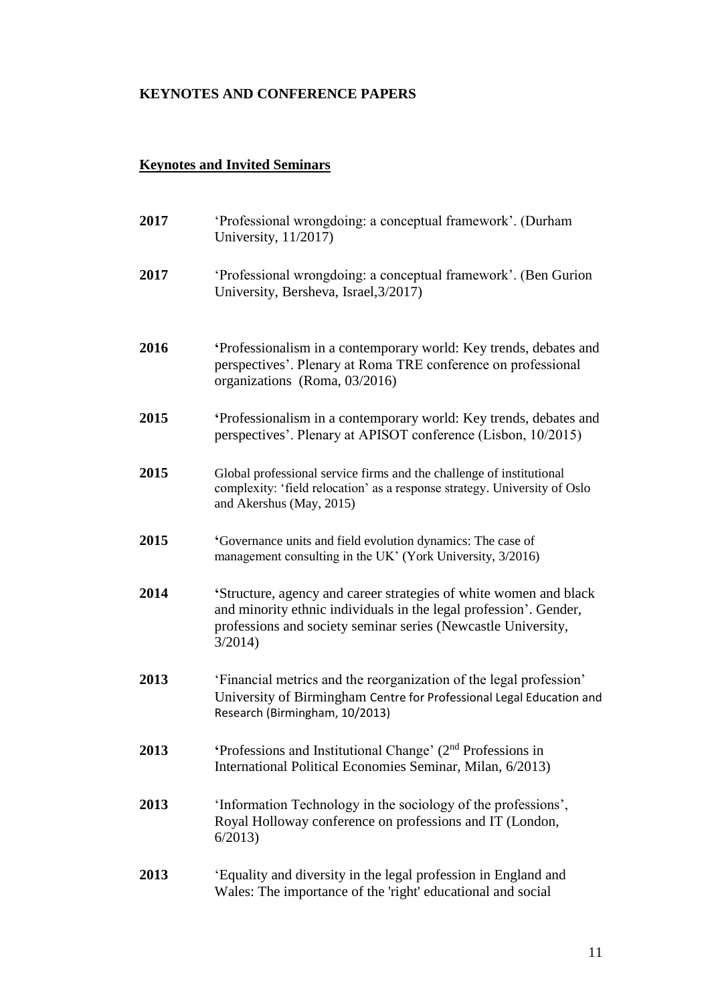# **KEYNOTES AND CONFERENCE PAPERS**

## **Keynotes and Invited Seminars**

| 2017 | 'Professional wrongdoing: a conceptual framework'. (Durham<br>University, 11/2017)                                                                                                                                |
|------|-------------------------------------------------------------------------------------------------------------------------------------------------------------------------------------------------------------------|
| 2017 | 'Professional wrongdoing: a conceptual framework'. (Ben Gurion)<br>University, Bersheva, Israel, 3/2017)                                                                                                          |
| 2016 | Professionalism in a contemporary world: Key trends, debates and<br>perspectives'. Plenary at Roma TRE conference on professional<br>organizations (Roma, 03/2016)                                                |
| 2015 | Professionalism in a contemporary world: Key trends, debates and<br>perspectives'. Plenary at APISOT conference (Lisbon, 10/2015)                                                                                 |
| 2015 | Global professional service firms and the challenge of institutional<br>complexity: 'field relocation' as a response strategy. University of Oslo<br>and Akershus (May, 2015)                                     |
| 2015 | 'Governance units and field evolution dynamics: The case of<br>management consulting in the UK' (York University, 3/2016)                                                                                         |
| 2014 | 'Structure, agency and career strategies of white women and black<br>and minority ethnic individuals in the legal profession'. Gender,<br>professions and society seminar series (Newcastle University,<br>3/2014 |
| 2013 | 'Financial metrics and the reorganization of the legal profession'<br>University of Birmingham Centre for Professional Legal Education and<br>Research (Birmingham, 10/2013)                                      |
| 2013 | 'Professions and Institutional Change' $(2nd$ Professions in<br>International Political Economies Seminar, Milan, 6/2013)                                                                                         |
| 2013 | 'Information Technology in the sociology of the professions',<br>Royal Holloway conference on professions and IT (London,<br>6/2013                                                                               |
| 2013 | 'Equality and diversity in the legal profession in England and<br>Wales: The importance of the 'right' educational and social                                                                                     |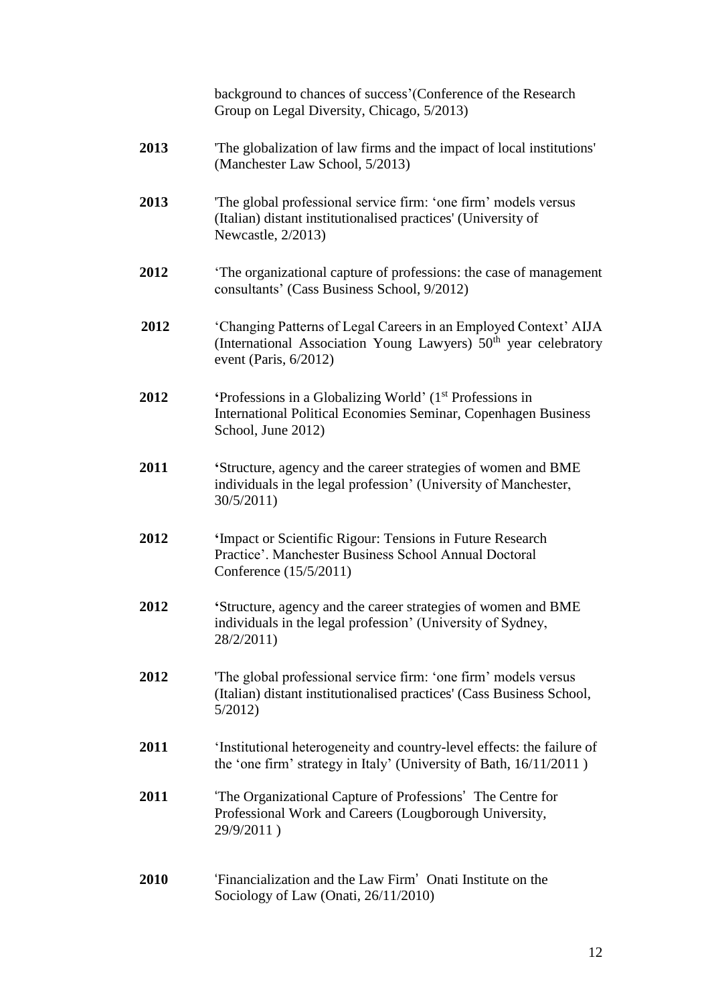background to chances of success'(Conference of the Research Group on Legal Diversity, Chicago, 5/2013)

- **2013** 'The globalization of law firms and the impact of local institutions' (Manchester Law School, 5/2013)
- **2013** 'The global professional service firm: 'one firm' models versus (Italian) distant institutionalised practices' (University of Newcastle, 2/2013)
- **2012** 'The organizational capture of professions: the case of management consultants' (Cass Business School, 9/2012)
- **2012** 'Changing Patterns of Legal Careers in an Employed Context' AIJA (International Association Young Lawyers)  $50<sup>th</sup>$  year celebratory event (Paris, 6/2012)
- 2012 **'Professions in a Globalizing World' (1<sup>st</sup> Professions in** International Political Economies Seminar, Copenhagen Business School, June 2012)
- **2011 '**Structure, agency and the career strategies of women and BME individuals in the legal profession' (University of Manchester, 30/5/2011)
- **2012 '**Impact or Scientific Rigour: Tensions in Future Research Practice'. Manchester Business School Annual Doctoral Conference (15/5/2011)
- **2012 '**Structure, agency and the career strategies of women and BME individuals in the legal profession' (University of Sydney, 28/2/2011)
- **2012** 'The global professional service firm: 'one firm' models versus (Italian) distant institutionalised practices' (Cass Business School, 5/2012)
- **2011** 'Institutional heterogeneity and country-level effects: the failure of the 'one firm' strategy in Italy' (University of Bath, 16/11/2011 )
- **2011** 'The Organizational Capture of Professions' The Centre for Professional Work and Careers (Lougborough University, 29/9/2011 )
- **2010** 'Financialization and the Law Firm' Onati Institute on the Sociology of Law (Onati, 26/11/2010)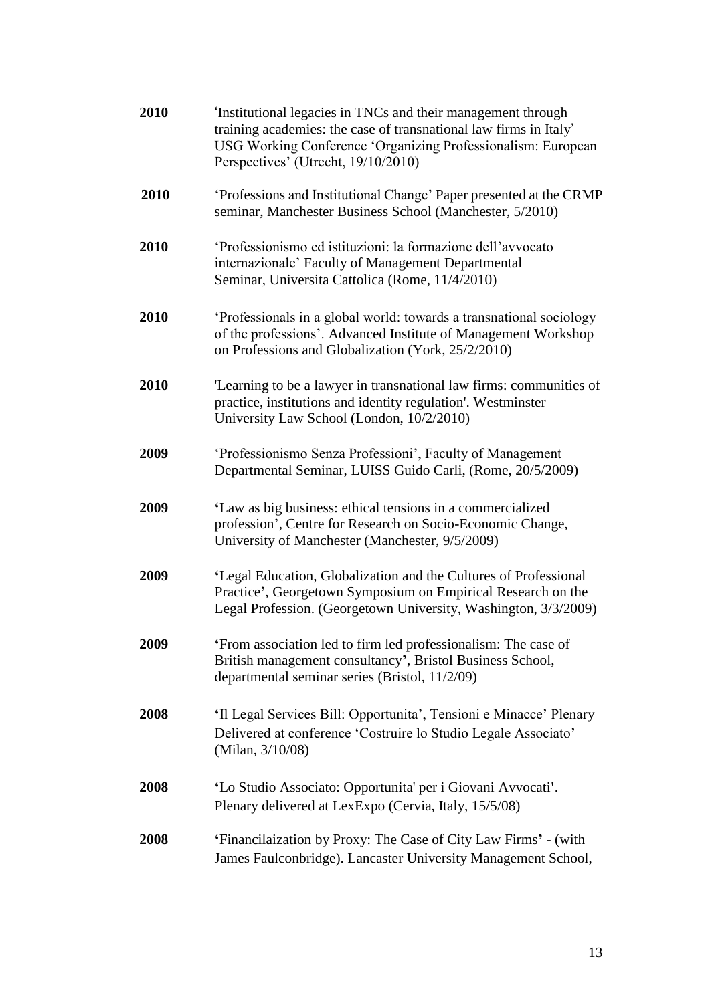| 2010 | 'Institutional legacies in TNCs and their management through<br>training academies: the case of transnational law firms in Italy'<br>USG Working Conference 'Organizing Professionalism: European<br>Perspectives' (Utrecht, 19/10/2010) |
|------|------------------------------------------------------------------------------------------------------------------------------------------------------------------------------------------------------------------------------------------|
| 2010 | 'Professions and Institutional Change' Paper presented at the CRMP<br>seminar, Manchester Business School (Manchester, 5/2010)                                                                                                           |
| 2010 | 'Professionismo ed istituzioni: la formazione dell'avvocato<br>internazionale' Faculty of Management Departmental<br>Seminar, Universita Cattolica (Rome, 11/4/2010)                                                                     |
| 2010 | 'Professionals in a global world: towards a transnational sociology<br>of the professions'. Advanced Institute of Management Workshop<br>on Professions and Globalization (York, 25/2/2010)                                              |
| 2010 | Learning to be a lawyer in transnational law firms: communities of<br>practice, institutions and identity regulation'. Westminster<br>University Law School (London, 10/2/2010)                                                          |
| 2009 | 'Professionismo Senza Professioni', Faculty of Management<br>Departmental Seminar, LUISS Guido Carli, (Rome, 20/5/2009)                                                                                                                  |
| 2009 | 'Law as big business: ethical tensions in a commercialized<br>profession', Centre for Research on Socio-Economic Change,<br>University of Manchester (Manchester, 9/5/2009)                                                              |
| 2009 | 'Legal Education, Globalization and the Cultures of Professional<br>Practice', Georgetown Symposium on Empirical Research on the<br>Legal Profession. (Georgetown University, Washington, 3/3/2009)                                      |
| 2009 | 'From association led to firm led professionalism: The case of<br>British management consultancy', Bristol Business School,<br>departmental seminar series (Bristol, 11/2/09)                                                            |
| 2008 | 'Il Legal Services Bill: Opportunita', Tensioni e Minacce' Plenary<br>Delivered at conference 'Costruire lo Studio Legale Associato'<br>(Milan, $3/10/08$ )                                                                              |
| 2008 | 'Lo Studio Associato: Opportunita' per i Giovani Avvocati'.<br>Plenary delivered at LexExpo (Cervia, Italy, 15/5/08)                                                                                                                     |
| 2008 | 'Financilaization by Proxy: The Case of City Law Firms' - (with<br>James Faulconbridge). Lancaster University Management School,                                                                                                         |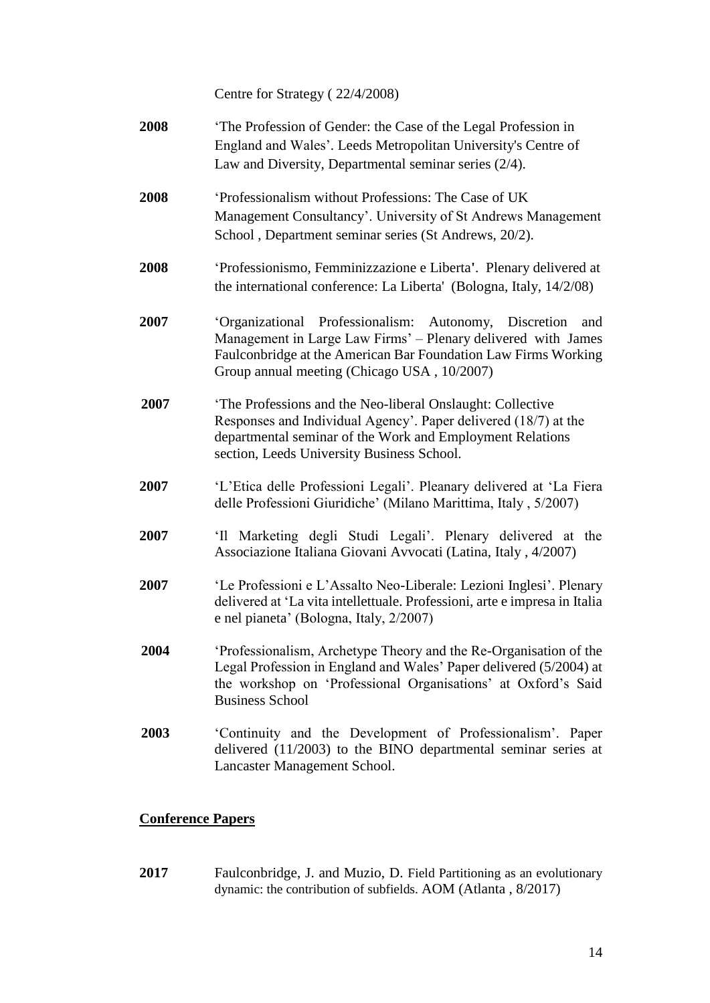Centre for Strategy ( 22/4/2008)

- **2008** 'The Profession of Gender: the Case of the Legal Profession in England and Wales'. Leeds Metropolitan University's Centre of Law and Diversity, Departmental seminar series (2/4).
- **2008** 'Professionalism without Professions: The Case of UK Management Consultancy'. University of St Andrews Management School , Department seminar series (St Andrews, 20/2).
- **2008** 'Professionismo, Femminizzazione e Liberta**'**. Plenary delivered at the international conference: La Liberta' (Bologna, Italy, 14/2/08)
- **2007** 'Organizational Professionalism: Autonomy, Discretion and Management in Large Law Firms' – Plenary delivered with James Faulconbridge at the American Bar Foundation Law Firms Working Group annual meeting (Chicago USA , 10/2007)
- **2007** 'The Professions and the Neo-liberal Onslaught: Collective Responses and Individual Agency'. Paper delivered (18/7) at the departmental seminar of the Work and Employment Relations section, Leeds University Business School.
- **2007** 'L'Etica delle Professioni Legali'. Pleanary delivered at 'La Fiera delle Professioni Giuridiche' (Milano Marittima, Italy , 5/2007)
- **2007** 'Il Marketing degli Studi Legali'. Plenary delivered at the Associazione Italiana Giovani Avvocati (Latina, Italy , 4/2007)
- **2007** 'Le Professioni e L'Assalto Neo-Liberale: Lezioni Inglesi'. Plenary delivered at 'La vita intellettuale. Professioni, arte e impresa in Italia e nel pianeta' (Bologna, Italy, 2/2007)
- **2004** 'Professionalism, Archetype Theory and the Re-Organisation of the Legal Profession in England and Wales' Paper delivered (5/2004) at the workshop on 'Professional Organisations' at Oxford's Said Business School
- **2003** 'Continuity and the Development of Professionalism'. Paper delivered (11/2003) to the BINO departmental seminar series at Lancaster Management School.

## **Conference Papers**

**2017** Faulconbridge, J. and Muzio, D. Field Partitioning as an evolutionary dynamic: the contribution of subfields. AOM (Atlanta , 8/2017)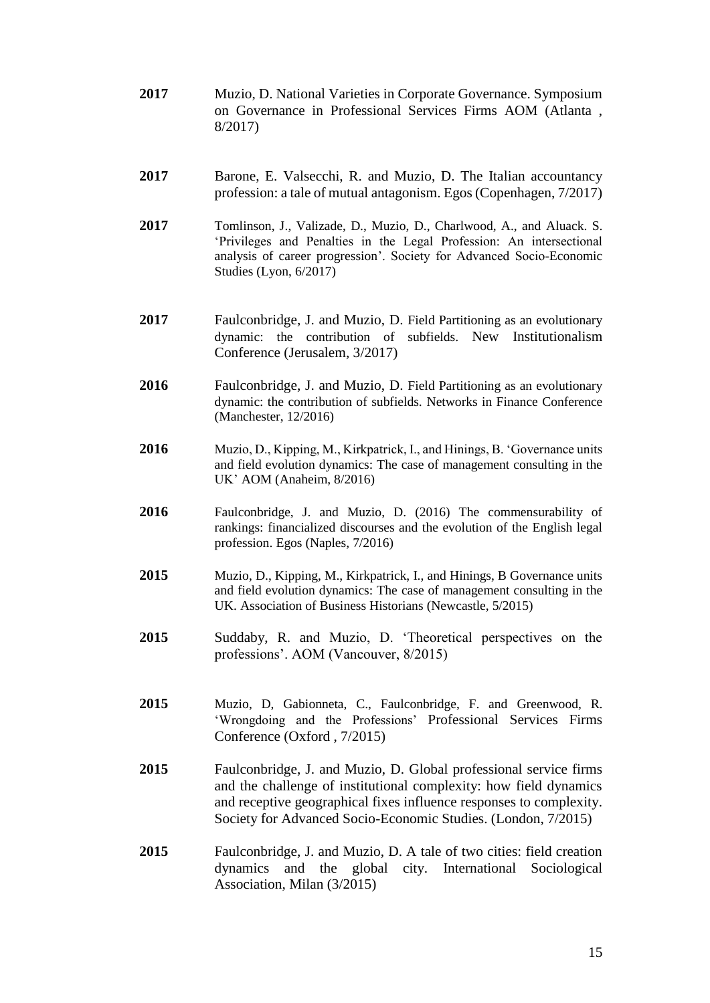- **2017** Muzio, D. National Varieties in Corporate Governance. Symposium on Governance in Professional Services Firms AOM (Atlanta , 8/2017)
- **2017** Barone, E. Valsecchi, R. and Muzio, D. The Italian accountancy profession: a tale of mutual antagonism. Egos (Copenhagen, 7/2017)
- **2017** Tomlinson, J., Valizade, D., Muzio, D., Charlwood, A., and Aluack. S. 'Privileges and Penalties in the Legal Profession: An intersectional analysis of career progression'. Society for Advanced Socio-Economic Studies (Lyon, 6/2017)
- **2017** Faulconbridge, J. and Muzio, D. Field Partitioning as an evolutionary dynamic: the contribution of subfields. New Institutionalism Conference (Jerusalem, 3/2017)
- **2016** Faulconbridge, J. and Muzio, D. Field Partitioning as an evolutionary dynamic: the contribution of subfields. Networks in Finance Conference (Manchester, 12/2016)
- **2016** Muzio, D., Kipping, M., Kirkpatrick, I., and Hinings, B. 'Governance units and field evolution dynamics: The case of management consulting in the UK' AOM (Anaheim, 8/2016)
- **2016** Faulconbridge, J. and Muzio, D. (2016) The commensurability of rankings: financialized discourses and the evolution of the English legal profession. Egos (Naples, 7/2016)
- **2015** Muzio, D., Kipping, M., Kirkpatrick, I., and Hinings, B Governance units and field evolution dynamics: The case of management consulting in the UK. Association of Business Historians (Newcastle, 5/2015)
- **2015** Suddaby, R. and Muzio, D. 'Theoretical perspectives on the professions'. AOM (Vancouver, 8/2015)
- **2015** Muzio, D, Gabionneta, C., Faulconbridge, F. and Greenwood, R. 'Wrongdoing and the Professions' Professional Services Firms Conference (Oxford , 7/2015)
- **2015** Faulconbridge, J. and Muzio, D. Global professional service firms and the challenge of institutional complexity: how field dynamics and receptive geographical fixes influence responses to complexity. Society for Advanced Socio-Economic Studies. (London, 7/2015)
- **2015** Faulconbridge, J. and Muzio, D. A tale of two cities: field creation dynamics and the global city. International Sociological Association*,* Milan (3/2015)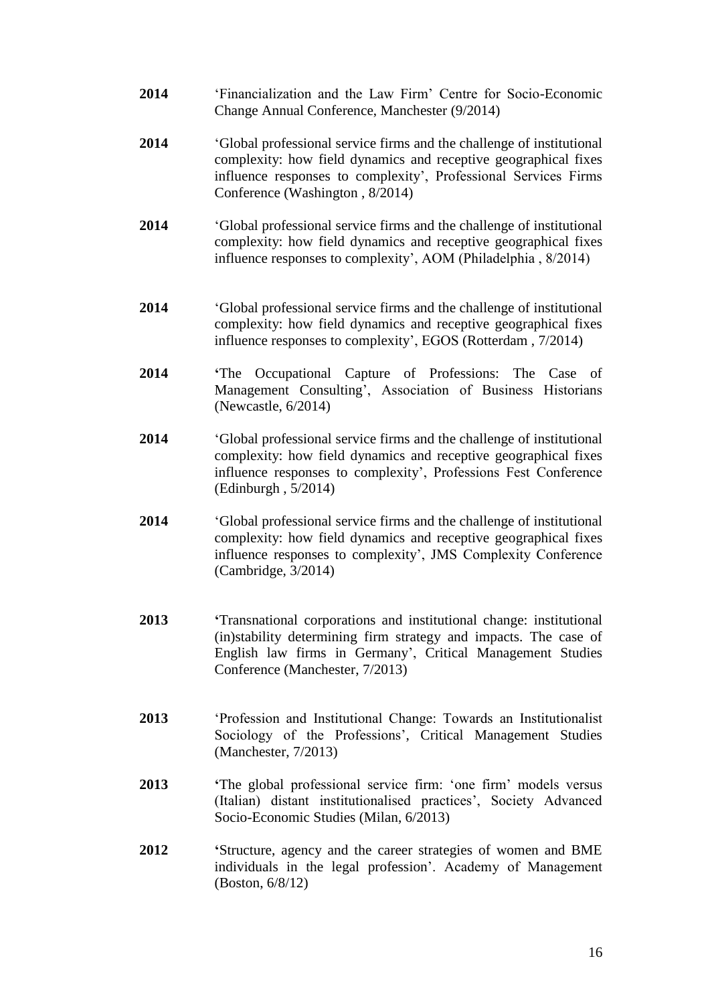- **2014** 'Financialization and the Law Firm' Centre for Socio-Economic Change Annual Conference, Manchester (9/2014)
- **2014** 'Global professional service firms and the challenge of institutional complexity: how field dynamics and receptive geographical fixes influence responses to complexity', Professional Services Firms Conference (Washington , 8/2014)
- **2014** 'Global professional service firms and the challenge of institutional complexity: how field dynamics and receptive geographical fixes influence responses to complexity', AOM (Philadelphia , 8/2014)
- **2014** 'Global professional service firms and the challenge of institutional complexity: how field dynamics and receptive geographical fixes influence responses to complexity', EGOS (Rotterdam , 7/2014)
- **2014 '**The Occupational Capture of Professions: The Case of Management Consulting', Association of Business Historians (Newcastle, 6/2014)
- **2014** 'Global professional service firms and the challenge of institutional complexity: how field dynamics and receptive geographical fixes influence responses to complexity', Professions Fest Conference (Edinburgh , 5/2014)
- **2014** 'Global professional service firms and the challenge of institutional complexity: how field dynamics and receptive geographical fixes influence responses to complexity', JMS Complexity Conference (Cambridge, 3/2014)
- **2013 '**Transnational corporations and institutional change: institutional (in)stability determining firm strategy and impacts. The case of English law firms in Germany', Critical Management Studies Conference (Manchester, 7/2013)
- **2013** 'Profession and Institutional Change: Towards an Institutionalist Sociology of the Professions', Critical Management Studies (Manchester, 7/2013)
- **2013 '**The global professional service firm: 'one firm' models versus (Italian) distant institutionalised practices', Society Advanced Socio-Economic Studies (Milan, 6/2013)
- **2012 '**Structure, agency and the career strategies of women and BME individuals in the legal profession'. Academy of Management (Boston, 6/8/12)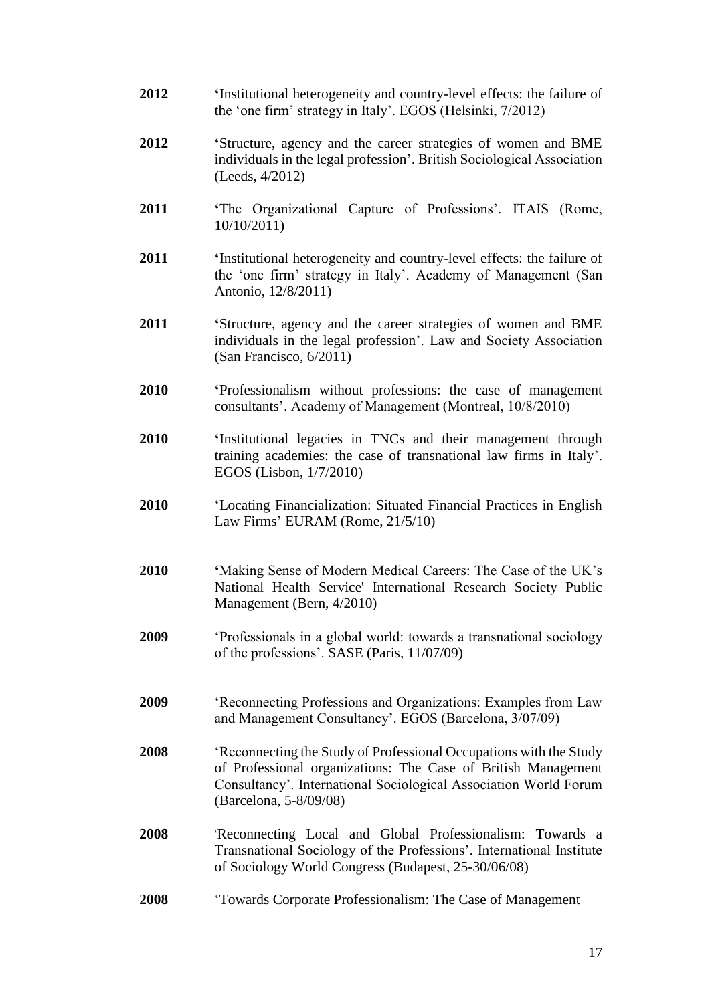- **2012 '**Institutional heterogeneity and country-level effects: the failure of the 'one firm' strategy in Italy'. EGOS (Helsinki, 7/2012)
- **2012 '**Structure, agency and the career strategies of women and BME individuals in the legal profession'. British Sociological Association (Leeds, 4/2012)
- **2011 '**The Organizational Capture of Professions'. ITAIS (Rome, 10/10/2011)
- **2011 '**Institutional heterogeneity and country-level effects: the failure of the 'one firm' strategy in Italy'. Academy of Management (San Antonio, 12/8/2011)
- **2011 '**Structure, agency and the career strategies of women and BME individuals in the legal profession'. Law and Society Association (San Francisco, 6/2011)
- **2010 '**Professionalism without professions: the case of management consultants'. Academy of Management (Montreal, 10/8/2010)
- **2010 '**Institutional legacies in TNCs and their management through training academies: the case of transnational law firms in Italy'. EGOS (Lisbon, 1/7/2010)
- **2010** 'Locating Financialization: Situated Financial Practices in English Law Firms' EURAM (Rome, 21/5/10)
- **2010 '**Making Sense of Modern Medical Careers: The Case of the UK's National Health Service' International Research Society Public Management (Bern, 4/2010)
- **2009** 'Professionals in a global world: towards a transnational sociology of the professions'. SASE (Paris, 11/07/09)
- **2009** 'Reconnecting Professions and Organizations: Examples from Law and Management Consultancy'. EGOS (Barcelona, 3/07/09)
- **2008** 'Reconnecting the Study of Professional Occupations with the Study of Professional organizations: The Case of British Management Consultancy'. International Sociological Association World Forum (Barcelona, 5-8/09/08)
- **2008** 'Reconnecting Local and Global Professionalism: Towards a Transnational Sociology of the Professions'. International Institute of Sociology World Congress (Budapest, 25-30/06/08)
- **2008** 'Towards Corporate Professionalism: The Case of Management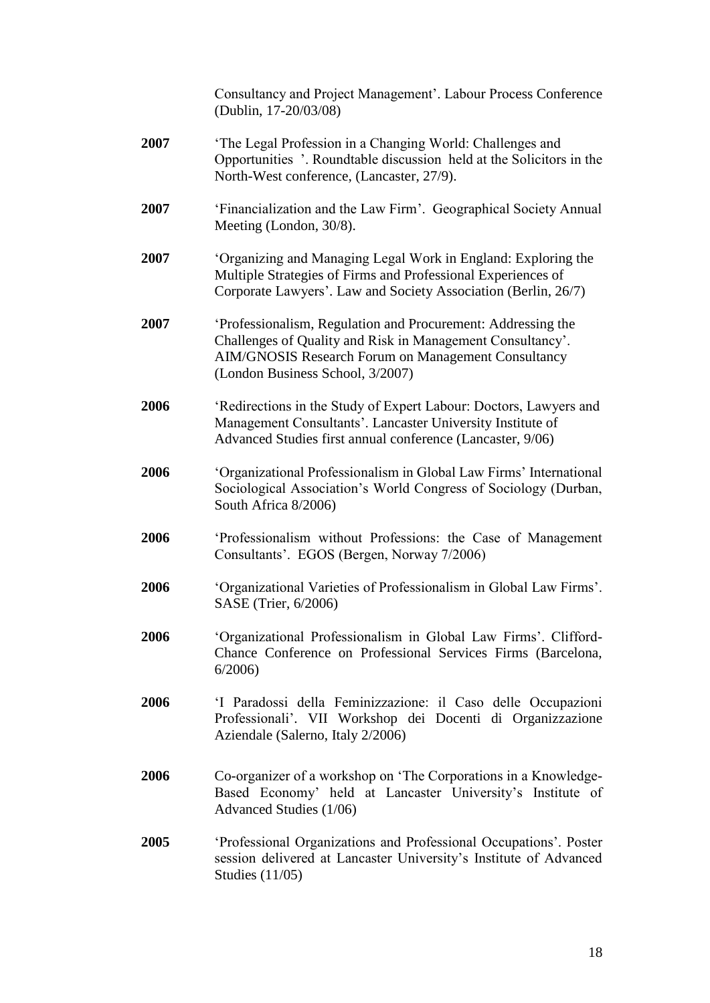Consultancy and Project Management'. Labour Process Conference (Dublin, 17-20/03/08)

- **2007** 'The Legal Profession in a Changing World: Challenges and Opportunities '. Roundtable discussion held at the Solicitors in the North-West conference, (Lancaster, 27/9).
- **2007** 'Financialization and the Law Firm'. Geographical Society Annual Meeting (London, 30/8).
- **2007** 'Organizing and Managing Legal Work in England: Exploring the Multiple Strategies of Firms and Professional Experiences of Corporate Lawyers'. Law and Society Association (Berlin, 26/7)
- **2007** 'Professionalism, Regulation and Procurement: Addressing the Challenges of Quality and Risk in Management Consultancy'. AIM/GNOSIS Research Forum on Management Consultancy (London Business School, 3/2007)
- **2006** 'Redirections in the Study of Expert Labour: Doctors, Lawyers and Management Consultants'. Lancaster University Institute of Advanced Studies first annual conference (Lancaster, 9/06)
- **2006** 'Organizational Professionalism in Global Law Firms' International Sociological Association's World Congress of Sociology (Durban, South Africa 8/2006)
- **2006** 'Professionalism without Professions: the Case of Management Consultants'. EGOS (Bergen, Norway 7/2006)
- **2006** 'Organizational Varieties of Professionalism in Global Law Firms'. SASE (Trier, 6/2006)
- **2006** 'Organizational Professionalism in Global Law Firms'. Clifford-Chance Conference on Professional Services Firms (Barcelona, 6/2006)
- **2006** 'I Paradossi della Feminizzazione: il Caso delle Occupazioni Professionali'. VII Workshop dei Docenti di Organizzazione Aziendale (Salerno, Italy 2/2006)
- **2006** Co-organizer of a workshop on 'The Corporations in a Knowledge-Based Economy' held at Lancaster University's Institute of Advanced Studies (1/06)
- **2005** 'Professional Organizations and Professional Occupations'. Poster session delivered at Lancaster University's Institute of Advanced Studies (11/05)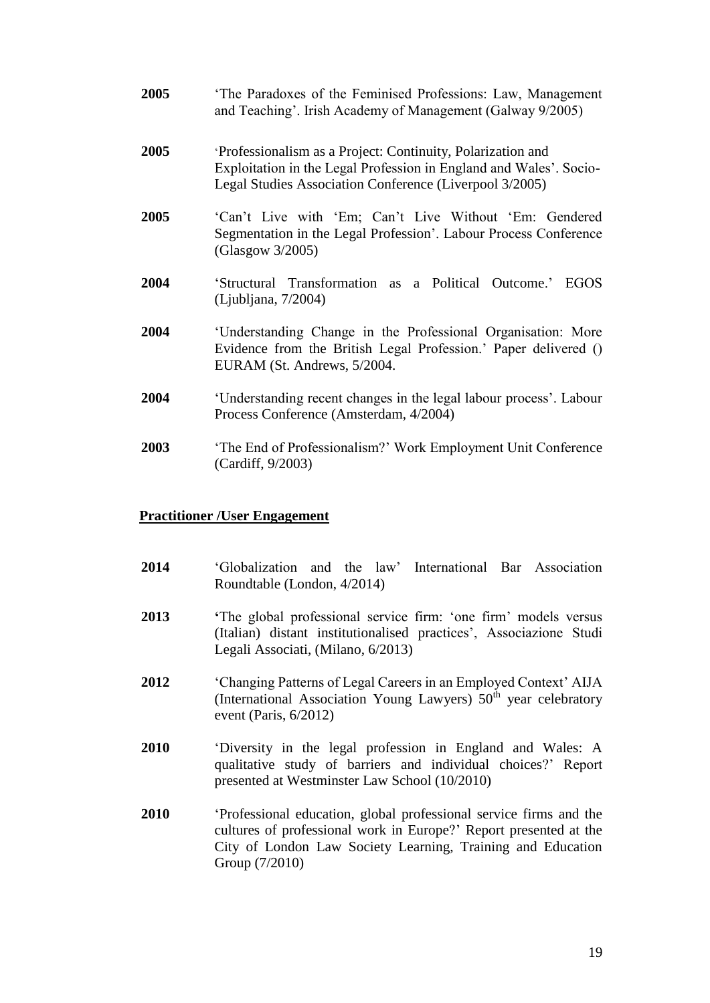- **2005** 'The Paradoxes of the Feminised Professions: Law, Management and Teaching'. Irish Academy of Management (Galway 9/2005)
- **2005** 'Professionalism as a Project: Continuity, Polarization and Exploitation in the Legal Profession in England and Wales'. Socio-Legal Studies Association Conference (Liverpool 3/2005)
- **2005** 'Can't Live with 'Em; Can't Live Without 'Em: Gendered Segmentation in the Legal Profession'. Labour Process Conference (Glasgow 3/2005)
- **2004** 'Structural Transformation as a Political Outcome.' EGOS (Ljubljana, 7/2004)
- **2004** 'Understanding Change in the Professional Organisation: More Evidence from the British Legal Profession.' Paper delivered () EURAM (St. Andrews, 5/2004.
- **2004** 'Understanding recent changes in the legal labour process'. Labour Process Conference (Amsterdam, 4/2004)
- **2003** 'The End of Professionalism?' Work Employment Unit Conference (Cardiff, 9/2003)

## **Practitioner /User Engagement**

- **2014** 'Globalization and the law' International Bar Association Roundtable (London, 4/2014)
- **2013 '**The global professional service firm: 'one firm' models versus (Italian) distant institutionalised practices', Associazione Studi Legali Associati, (Milano, 6/2013)
- **2012** 'Changing Patterns of Legal Careers in an Employed Context' AIJA (International Association Young Lawyers)  $50<sup>th</sup>$  year celebratory event (Paris, 6/2012)
- **2010** 'Diversity in the legal profession in England and Wales: A qualitative study of barriers and individual choices?' Report presented at Westminster Law School (10/2010)
- **2010** 'Professional education, global professional service firms and the cultures of professional work in Europe?' Report presented at the City of London Law Society Learning, Training and Education Group (7/2010)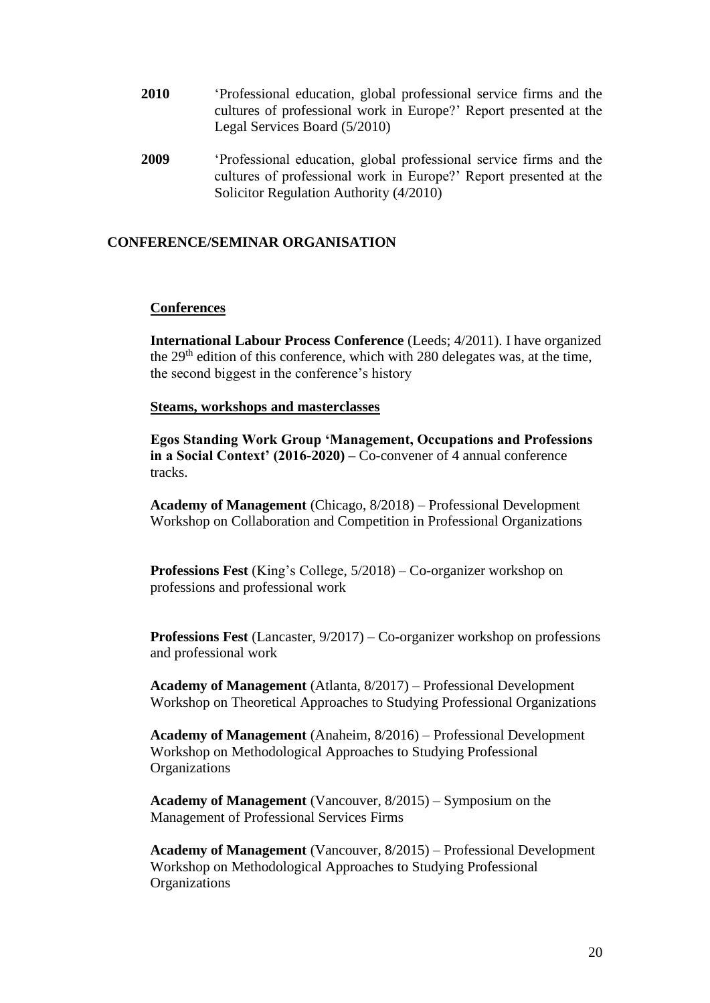- **2010** 'Professional education, global professional service firms and the cultures of professional work in Europe?' Report presented at the Legal Services Board (5/2010)
- **2009** 'Professional education, global professional service firms and the cultures of professional work in Europe?' Report presented at the Solicitor Regulation Authority (4/2010)

## **CONFERENCE/SEMINAR ORGANISATION**

## **Conferences**

**International Labour Process Conference** (Leeds; 4/2011). I have organized the 29th edition of this conference, which with 280 delegates was, at the time, the second biggest in the conference's history

### **Steams, workshops and masterclasses**

**Egos Standing Work Group 'Management, Occupations and Professions in a Social Context' (2016-2020) –** Co-convener of 4 annual conference tracks.

**Academy of Management** (Chicago, 8/2018) – Professional Development Workshop on Collaboration and Competition in Professional Organizations

**Professions Fest** (King's College, 5/2018) – Co-organizer workshop on professions and professional work

**Professions Fest** (Lancaster, 9/2017) – Co-organizer workshop on professions and professional work

**Academy of Management** (Atlanta, 8/2017) – Professional Development Workshop on Theoretical Approaches to Studying Professional Organizations

**Academy of Management** (Anaheim, 8/2016) – Professional Development Workshop on Methodological Approaches to Studying Professional **Organizations** 

**Academy of Management** (Vancouver, 8/2015) – Symposium on the Management of Professional Services Firms

**Academy of Management** (Vancouver, 8/2015) – Professional Development Workshop on Methodological Approaches to Studying Professional **Organizations**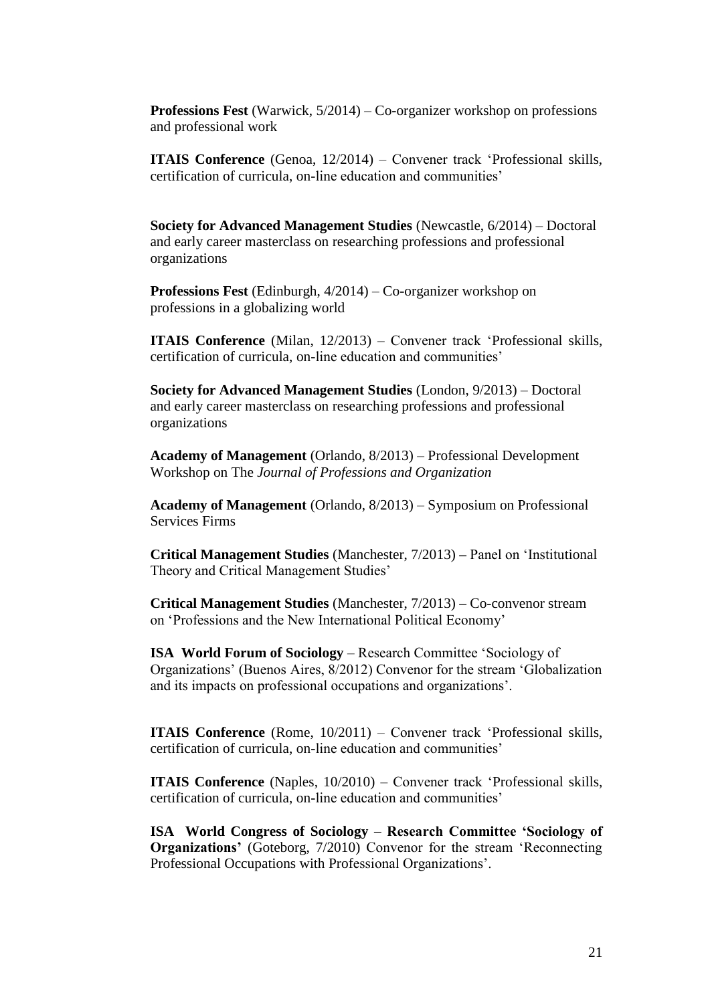**Professions Fest** (Warwick, 5/2014) – Co-organizer workshop on professions and professional work

**ITAIS Conference** (Genoa, 12/2014) – Convener track ['Professional skills,](http://www.itais2010.org/site/track15.htm)  [certification of curricula, on-line education and communities'](http://www.itais2010.org/site/track15.htm) 

**Society for Advanced Management Studies** (Newcastle, 6/2014) – Doctoral and early career masterclass on researching professions and professional organizations

**Professions Fest** (Edinburgh, 4/2014) – Co-organizer workshop on professions in a globalizing world

**ITAIS Conference** (Milan, 12/2013) – Convener track ['Professional skills,](http://www.itais2010.org/site/track15.htm)  [certification of curricula, on-line education and communities'](http://www.itais2010.org/site/track15.htm) 

**Society for Advanced Management Studies** (London, 9/2013) – Doctoral and early career masterclass on researching professions and professional organizations

**Academy of Management** (Orlando, 8/2013) – Professional Development Workshop on The *Journal of Professions and Organization*

**Academy of Management** (Orlando, 8/2013) – Symposium on Professional Services Firms

**Critical Management Studies** (Manchester, 7/2013) **–** Panel on 'Institutional Theory and Critical Management Studies'

**Critical Management Studies** (Manchester, 7/2013) **–** Co-convenor stream on 'Professions and the New International Political Economy'

**ISA World Forum of Sociology** – Research Committee 'Sociology of Organizations' (Buenos Aires, 8/2012) Convenor for the stream 'Globalization and its impacts on professional occupations and organizations'.

**ITAIS Conference** (Rome, 10/2011) – Convener track ['Professional skills,](http://www.itais2010.org/site/track15.htm)  [certification of curricula, on-line education and communities'](http://www.itais2010.org/site/track15.htm) 

**ITAIS Conference** (Naples, 10/2010) – Convener track ['Professional skills,](http://www.itais2010.org/site/track15.htm)  [certification of curricula, on-line education and communities'](http://www.itais2010.org/site/track15.htm) 

**ISA World Congress of Sociology – Research Committee 'Sociology of Organizations'** (Goteborg, 7/2010) Convenor for the stream 'Reconnecting Professional Occupations with Professional Organizations'.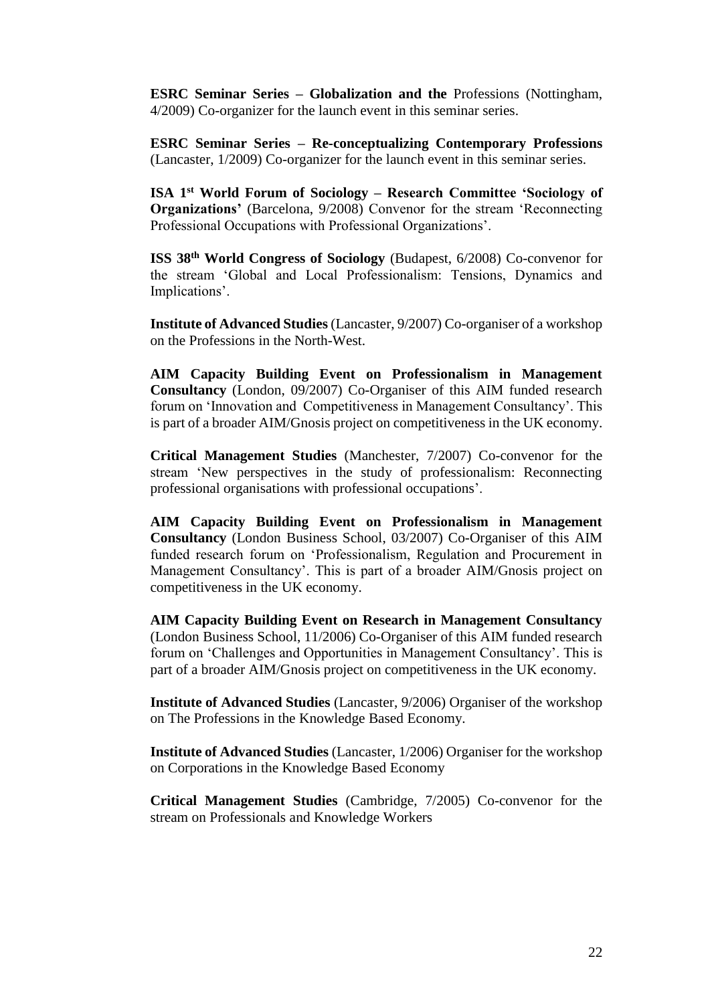**ESRC Seminar Series – Globalization and the** Professions (Nottingham, 4/2009) Co-organizer for the launch event in this seminar series.

**ESRC Seminar Series – Re-conceptualizing Contemporary Professions**  (Lancaster, 1/2009) Co-organizer for the launch event in this seminar series.

**ISA 1st World Forum of Sociology – Research Committee 'Sociology of Organizations'** (Barcelona, 9/2008) Convenor for the stream 'Reconnecting Professional Occupations with Professional Organizations'.

**ISS 38th World Congress of Sociology** (Budapest, 6/2008) Co-convenor for the stream 'Global and Local Professionalism: Tensions, Dynamics and Implications'.

**Institute of Advanced Studies** (Lancaster, 9/2007) Co-organiser of a workshop on the Professions in the North-West.

**AIM Capacity Building Event on Professionalism in Management Consultancy** (London, 09/2007) Co-Organiser of this AIM funded research forum on 'Innovation and Competitiveness in Management Consultancy'. This is part of a broader AIM/Gnosis project on competitiveness in the UK economy.

**Critical Management Studies** (Manchester, 7/2007) Co-convenor for the stream 'New perspectives in the study of professionalism: Reconnecting professional organisations with professional occupations'.

**AIM Capacity Building Event on Professionalism in Management Consultancy** (London Business School, 03/2007) Co-Organiser of this AIM funded research forum on 'Professionalism, Regulation and Procurement in Management Consultancy'. This is part of a broader AIM/Gnosis project on competitiveness in the UK economy.

**AIM Capacity Building Event on Research in Management Consultancy**  (London Business School, 11/2006) Co-Organiser of this AIM funded research forum on 'Challenges and Opportunities in Management Consultancy'. This is part of a broader AIM/Gnosis project on competitiveness in the UK economy.

**Institute of Advanced Studies** (Lancaster, 9/2006) Organiser of the workshop on The Professions in the Knowledge Based Economy.

**Institute of Advanced Studies** (Lancaster, 1/2006) Organiser for the workshop on Corporations in the Knowledge Based Economy

**Critical Management Studies** (Cambridge, 7/2005) Co-convenor for the stream on Professionals and Knowledge Workers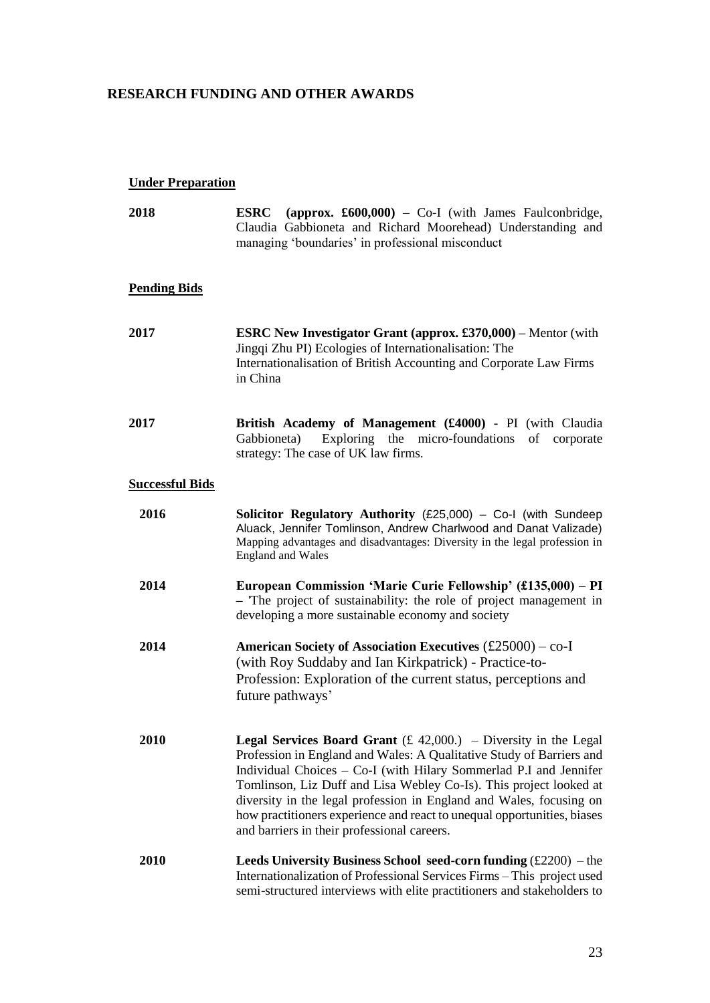# **RESEARCH FUNDING AND OTHER AWARDS**

# **Under Preparation**

| 2018                   | ESRC<br>(approx. $\pounds 600,000$ ) – Co-I (with James Faulconbridge,<br>Claudia Gabbioneta and Richard Moorehead) Understanding and<br>managing 'boundaries' in professional misconduct                                                                                                                                                                                                                                                                                                    |
|------------------------|----------------------------------------------------------------------------------------------------------------------------------------------------------------------------------------------------------------------------------------------------------------------------------------------------------------------------------------------------------------------------------------------------------------------------------------------------------------------------------------------|
| <u>Pending Bids</u>    |                                                                                                                                                                                                                                                                                                                                                                                                                                                                                              |
| <b>2017</b>            | <b>ESRC New Investigator Grant (approx. £370,000)</b> – Mentor (with<br>Jingqi Zhu PI) Ecologies of Internationalisation: The<br>Internationalisation of British Accounting and Corporate Law Firms<br>in China                                                                                                                                                                                                                                                                              |
| <b>2017</b>            | British Academy of Management (£4000) - PI (with Claudia<br>Exploring the micro-foundations of corporate<br>Gabbioneta)<br>strategy: The case of UK law firms.                                                                                                                                                                                                                                                                                                                               |
| <u>Successful Bids</u> |                                                                                                                                                                                                                                                                                                                                                                                                                                                                                              |
| 2016                   | Solicitor Regulatory Authority (£25,000) - Co-I (with Sundeep<br>Aluack, Jennifer Tomlinson, Andrew Charlwood and Danat Valizade)<br>Mapping advantages and disadvantages: Diversity in the legal profession in<br><b>England and Wales</b>                                                                                                                                                                                                                                                  |
| 2014                   | European Commission 'Marie Curie Fellowship' (£135,000) – PI<br>- The project of sustainability: the role of project management in<br>developing a more sustainable economy and society                                                                                                                                                                                                                                                                                                      |
| 2014                   | American Society of Association Executives $(\text{\pounds}25000) - \text{co-I}$<br>(with Roy Suddaby and Ian Kirkpatrick) - Practice-to-<br>Profession: Exploration of the current status, perceptions and<br>future pathways'                                                                                                                                                                                                                                                              |
| <b>2010</b>            | <b>Legal Services Board Grant</b> $(E 42,000.)$ – Diversity in the Legal<br>Profession in England and Wales: A Qualitative Study of Barriers and<br>Individual Choices – Co-I (with Hilary Sommerlad P.I and Jennifer<br>Tomlinson, Liz Duff and Lisa Webley Co-Is). This project looked at<br>diversity in the legal profession in England and Wales, focusing on<br>how practitioners experience and react to unequal opportunities, biases<br>and barriers in their professional careers. |
| 2010                   | <b>Leeds University Business School seed-corn funding</b> $(f2200)$ – the<br>Internationalization of Professional Services Firms - This project used<br>semi-structured interviews with elite practitioners and stakeholders to                                                                                                                                                                                                                                                              |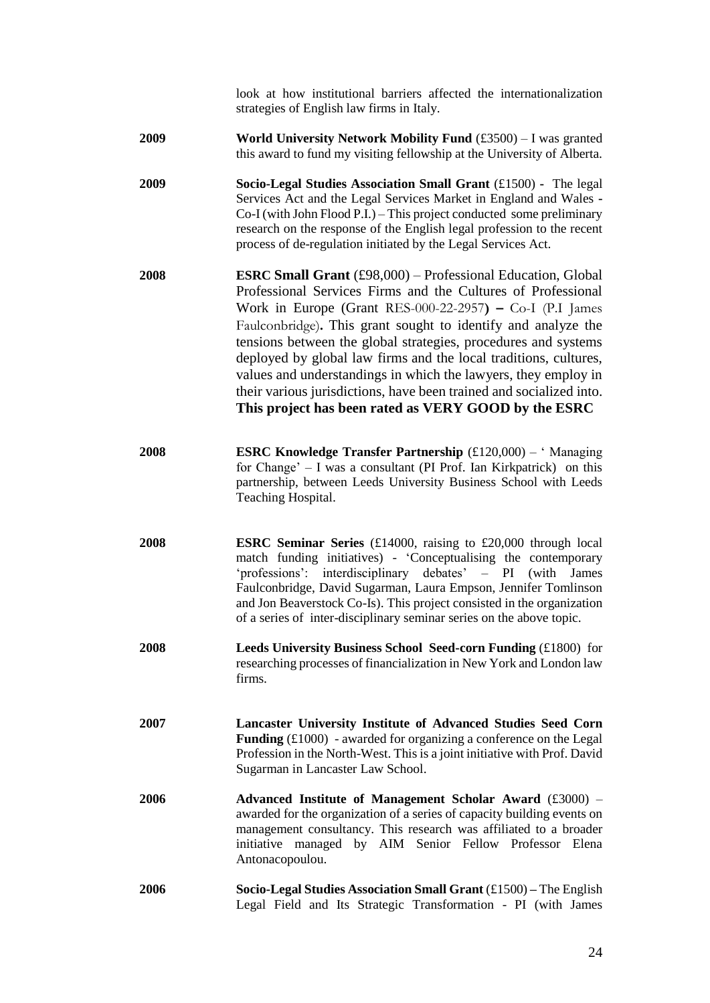look at how institutional barriers affected the internationalization strategies of English law firms in Italy.

- **2009 World University Network Mobility Fund** (£3500) I was granted this award to fund my visiting fellowship at the University of Alberta.
- **2009 Socio-Legal Studies Association Small Grant** (£1500) The legal Services Act and the Legal Services Market in England and Wales **-** Co-I (with John Flood P.I.) – This project conducted some preliminary research on the response of the English legal profession to the recent process of de-regulation initiated by the Legal Services Act.
- **2008 ESRC Small Grant** (£98,000) Professional Education, Global Professional Services Firms and the Cultures of Professional Work in Europe (Grant RES-000-22-2957**) –** Co-I (P.I James Faulconbridge)**.** This grant sought to identify and analyze the tensions between the global strategies, procedures and systems deployed by global law firms and the local traditions, cultures, values and understandings in which the lawyers, they employ in their various jurisdictions, have been trained and socialized into. **This project has been rated as VERY GOOD by the ESRC**
- **2008 ESRC Knowledge Transfer Partnership** (£120,000) ' Managing for Change' – I was a consultant (PI Prof. Ian Kirkpatrick) on this partnership, between Leeds University Business School with Leeds Teaching Hospital.
- **2008 ESRC Seminar Series** (£14000, raising to £20,000 through local match funding initiatives) - 'Conceptualising the contemporary 'professions': interdisciplinary debates' – PI (with James Faulconbridge, David Sugarman, Laura Empson, Jennifer Tomlinson and Jon Beaverstock Co-Is). This project consisted in the organization of a series of inter-disciplinary seminar series on the above topic.
- **2008 Leeds University Business School Seed-corn Funding (£1800) for** researching processes of financialization in New York and London law firms.
- **2007 Lancaster University Institute of Advanced Studies Seed Corn Funding** (£1000) - awarded for organizing a conference on the Legal Profession in the North-West. This is a joint initiative with Prof. David Sugarman in Lancaster Law School.
- **2006 Advanced Institute of Management Scholar Award** (£3000) awarded for the organization of a series of capacity building events on management consultancy. This research was affiliated to a broader initiative managed by AIM Senior Fellow Professor Elena Antonacopoulou.
- **2006 Socio-Legal Studies Association Small Grant** (£1500) **–** The English Legal Field and Its Strategic Transformation - PI (with James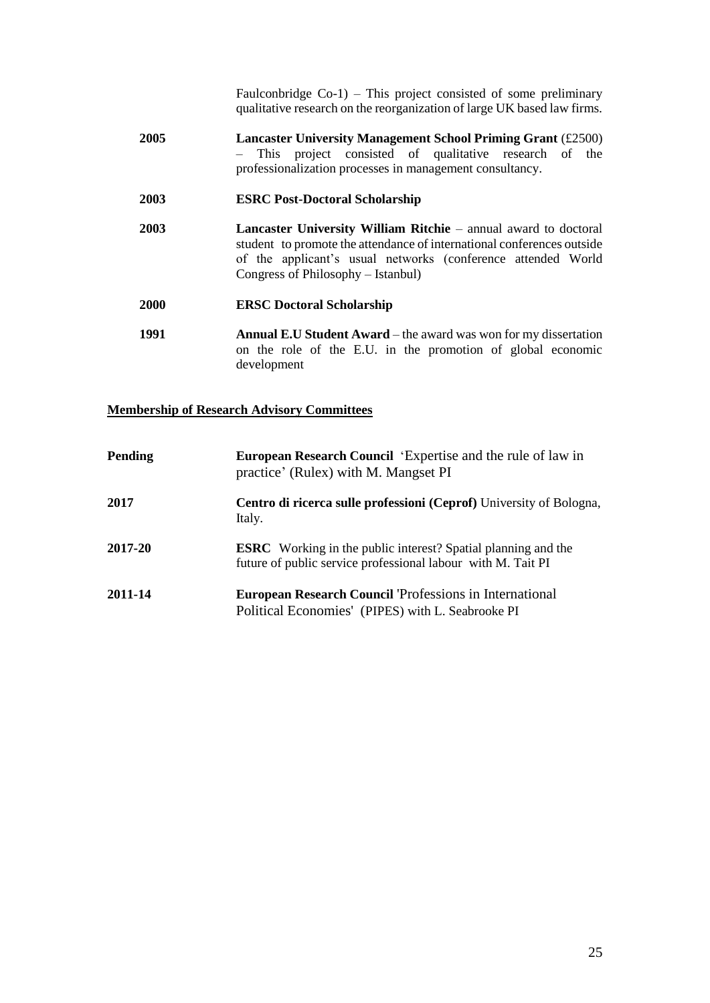Faulconbridge Co-1) – This project consisted of some preliminary qualitative research on the reorganization of large UK based law firms.

**2005 Lancaster University Management School Priming Grant** (£2500) – This project consisted of qualitative research of the professionalization processes in management consultancy.

### **2003 ESRC Post-Doctoral Scholarship**

**2003 Lancaster University William Ritchie** – annual award to doctoral student to promote the attendance of international conferences outside of the applicant's usual networks (conference attended World Congress of Philosophy – Istanbul)

### **2000 ERSC Doctoral Scholarship**

**1991 Annual E.U Student Award** – the award was won for my dissertation on the role of the E.U. in the promotion of global economic development

### **Membership of Research Advisory Committees**

| Pending | <b>European Research Council</b> 'Expertise and the rule of law in<br>practice' (Rulex) with M. Mangset PI                           |
|---------|--------------------------------------------------------------------------------------------------------------------------------------|
| 2017    | Centro di ricerca sulle professioni (Ceprof) University of Bologna,<br>Italy.                                                        |
| 2017-20 | <b>ESRC</b> Working in the public interest? Spatial planning and the<br>future of public service professional labour with M. Tait PI |
| 2011-14 | <b>European Research Council 'Professions in International</b><br>Political Economies' (PIPES) with L. Seabrooke PI                  |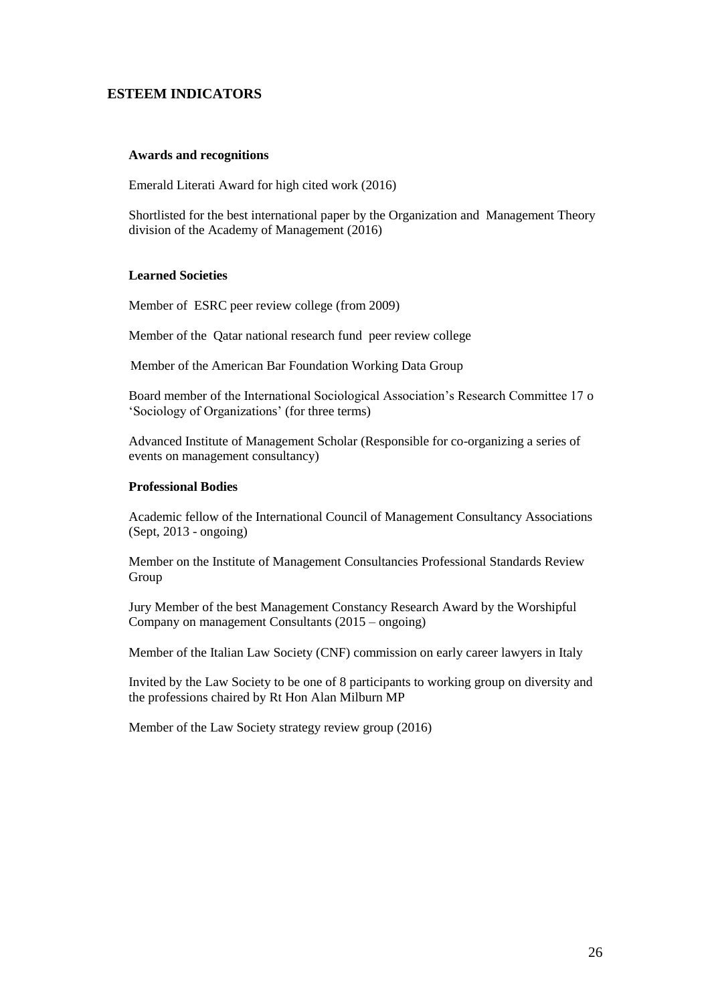## **ESTEEM INDICATORS**

#### **Awards and recognitions**

Emerald Literati Award for high cited work (2016)

Shortlisted for the best international paper by the Organization and Management Theory division of the Academy of Management (2016)

#### **Learned Societies**

Member of ESRC peer review college (from 2009)

Member of the Qatar national research fund peer review college

Member of the American Bar Foundation Working Data Group

Board member of the International Sociological Association's Research Committee 17 o 'Sociology of Organizations' (for three terms)

Advanced Institute of Management Scholar (Responsible for co-organizing a series of events on management consultancy)

#### **Professional Bodies**

Academic fellow of the International Council of Management Consultancy Associations (Sept, 2013 - ongoing)

Member on the Institute of Management Consultancies Professional Standards Review Group

Jury Member of the best Management Constancy Research Award by the Worshipful Company on management Consultants (2015 – ongoing)

Member of the Italian Law Society (CNF) commission on early career lawyers in Italy

Invited by the Law Society to be one of 8 participants to working group on diversity and the professions chaired by Rt Hon Alan Milburn MP

Member of the Law Society strategy review group (2016)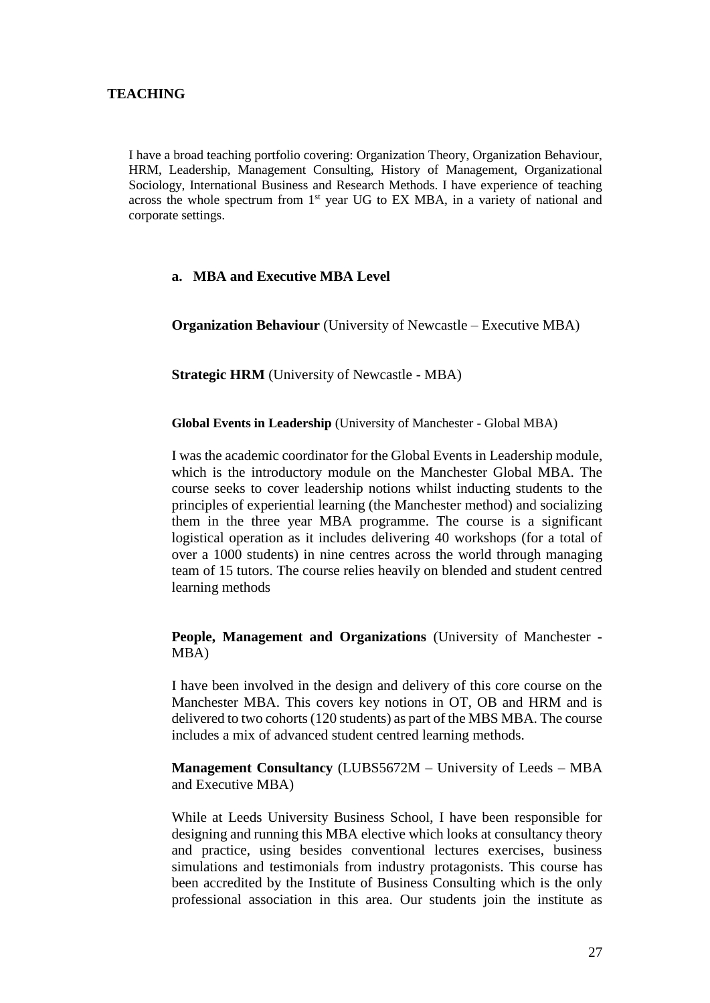## **TEACHING**

I have a broad teaching portfolio covering: Organization Theory, Organization Behaviour, HRM, Leadership, Management Consulting, History of Management, Organizational Sociology, International Business and Research Methods. I have experience of teaching across the whole spectrum from 1<sup>st</sup> year UG to EX MBA, in a variety of national and corporate settings.

## **a. MBA and Executive MBA Level**

**Organization Behaviour** (University of Newcastle – Executive MBA)

**Strategic HRM** (University of Newcastle - MBA)

**Global Events in Leadership** (University of Manchester - Global MBA)

I was the academic coordinator for the Global Events in Leadership module, which is the introductory module on the Manchester Global MBA. The course seeks to cover leadership notions whilst inducting students to the principles of experiential learning (the Manchester method) and socializing them in the three year MBA programme. The course is a significant logistical operation as it includes delivering 40 workshops (for a total of over a 1000 students) in nine centres across the world through managing team of 15 tutors. The course relies heavily on blended and student centred learning methods

**People, Management and Organizations** (University of Manchester - MBA)

I have been involved in the design and delivery of this core course on the Manchester MBA. This covers key notions in OT, OB and HRM and is delivered to two cohorts (120 students) as part of the MBS MBA. The course includes a mix of advanced student centred learning methods.

**Management Consultancy** (LUBS5672M – University of Leeds – MBA and Executive MBA)

While at Leeds University Business School, I have been responsible for designing and running this MBA elective which looks at consultancy theory and practice, using besides conventional lectures exercises, business simulations and testimonials from industry protagonists. This course has been accredited by the Institute of Business Consulting which is the only professional association in this area. Our students join the institute as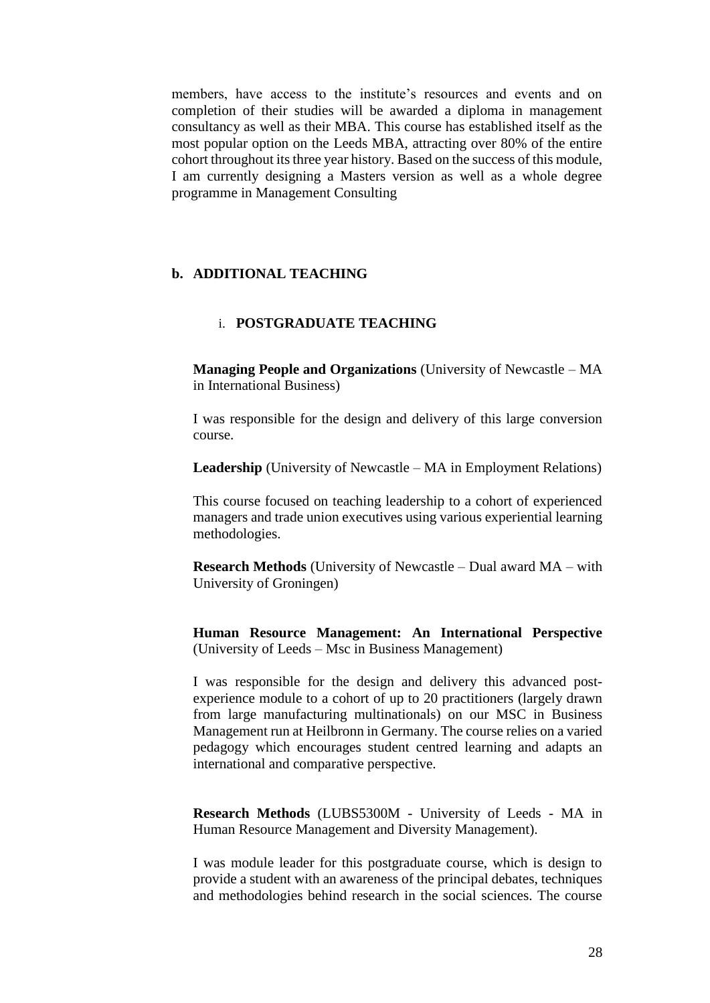members, have access to the institute's resources and events and on completion of their studies will be awarded a diploma in management consultancy as well as their MBA. This course has established itself as the most popular option on the Leeds MBA, attracting over 80% of the entire cohort throughout its three year history. Based on the success of this module, I am currently designing a Masters version as well as a whole degree programme in Management Consulting

## **b. ADDITIONAL TEACHING**

## i. **POSTGRADUATE TEACHING**

**Managing People and Organizations** (University of Newcastle – MA in International Business)

I was responsible for the design and delivery of this large conversion course.

**Leadership** (University of Newcastle – MA in Employment Relations)

This course focused on teaching leadership to a cohort of experienced managers and trade union executives using various experiential learning methodologies.

**Research Methods** (University of Newcastle – Dual award MA – with University of Groningen)

**Human Resource Management: An International Perspective**  (University of Leeds – Msc in Business Management)

I was responsible for the design and delivery this advanced postexperience module to a cohort of up to 20 practitioners (largely drawn from large manufacturing multinationals) on our MSC in Business Management run at Heilbronn in Germany. The course relies on a varied pedagogy which encourages student centred learning and adapts an international and comparative perspective.

**Research Methods** (LUBS5300M - University of Leeds - MA in Human Resource Management and Diversity Management).

I was module leader for this postgraduate course, which is design to provide a student with an awareness of the principal debates, techniques and methodologies behind research in the social sciences. The course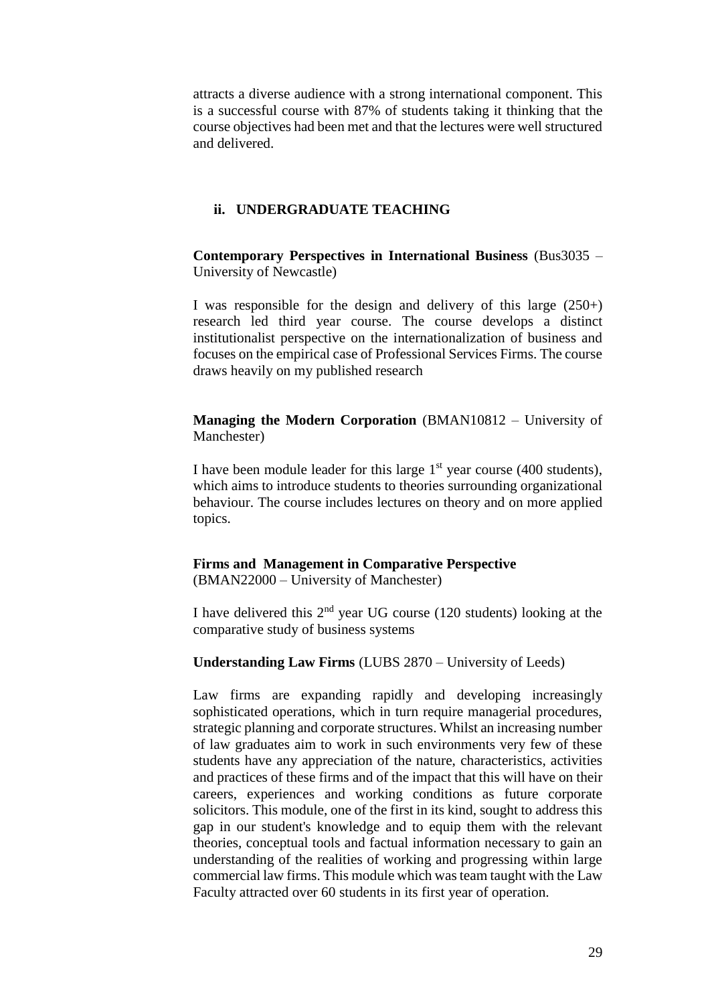attracts a diverse audience with a strong international component. This is a successful course with 87% of students taking it thinking that the course objectives had been met and that the lectures were well structured and delivered.

### **ii. UNDERGRADUATE TEACHING**

**Contemporary Perspectives in International Business** (Bus3035 – University of Newcastle)

I was responsible for the design and delivery of this large (250+) research led third year course. The course develops a distinct institutionalist perspective on the internationalization of business and focuses on the empirical case of Professional Services Firms. The course draws heavily on my published research

**Managing the Modern Corporation** (BMAN10812 – University of Manchester)

I have been module leader for this large  $1<sup>st</sup>$  year course (400 students), which aims to introduce students to theories surrounding organizational behaviour. The course includes lectures on theory and on more applied topics.

**Firms and Management in Comparative Perspective** (BMAN22000 – University of Manchester)

I have delivered this  $2<sup>nd</sup>$  year UG course (120 students) looking at the comparative study of business systems

### **Understanding Law Firms** (LUBS 2870 – University of Leeds)

Law firms are expanding rapidly and developing increasingly sophisticated operations, which in turn require managerial procedures, strategic planning and corporate structures. Whilst an increasing number of law graduates aim to work in such environments very few of these students have any appreciation of the nature, characteristics, activities and practices of these firms and of the impact that this will have on their careers, experiences and working conditions as future corporate solicitors. This module, one of the first in its kind, sought to address this gap in our student's knowledge and to equip them with the relevant theories, conceptual tools and factual information necessary to gain an understanding of the realities of working and progressing within large commercial law firms. This module which was team taught with the Law Faculty attracted over 60 students in its first year of operation.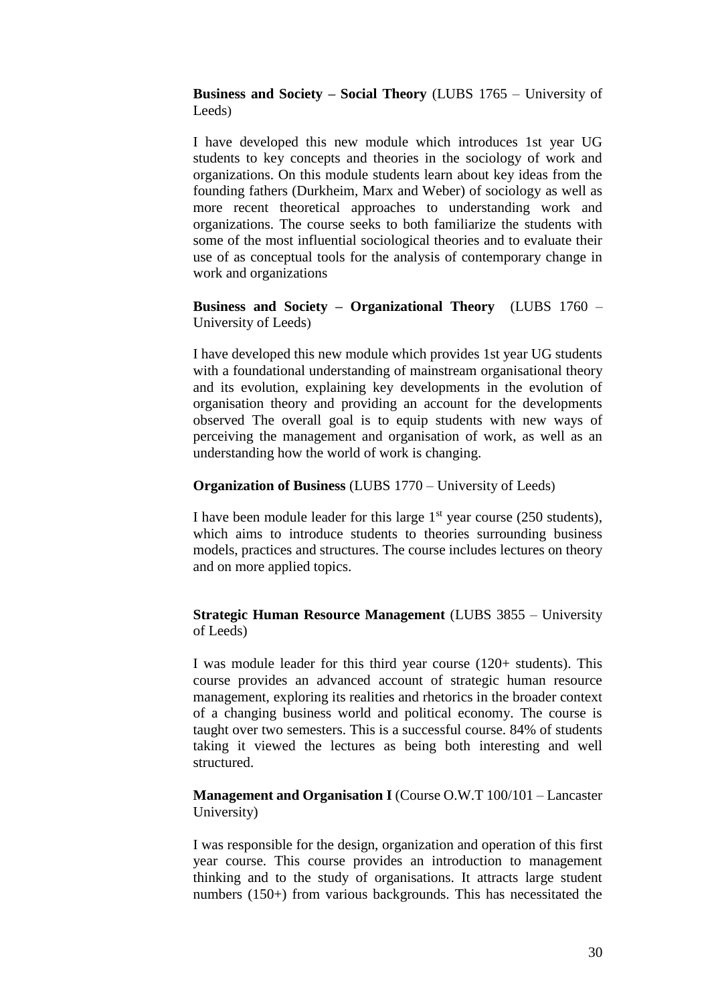**Business and Society – Social Theory** (LUBS 1765 – University of Leeds)

I have developed this new module which introduces 1st year UG students to key concepts and theories in the sociology of work and organizations. On this module students learn about key ideas from the founding fathers (Durkheim, Marx and Weber) of sociology as well as more recent theoretical approaches to understanding work and organizations. The course seeks to both familiarize the students with some of the most influential sociological theories and to evaluate their use of as conceptual tools for the analysis of contemporary change in work and organizations

**Business and Society – Organizational Theory** (LUBS 1760 – University of Leeds)

I have developed this new module which provides 1st year UG students with a foundational understanding of mainstream organisational theory and its evolution, explaining key developments in the evolution of organisation theory and providing an account for the developments observed The overall goal is to equip students with new ways of perceiving the management and organisation of work, as well as an understanding how the world of work is changing.

### **Organization of Business** (LUBS 1770 – University of Leeds)

I have been module leader for this large  $1<sup>st</sup>$  year course (250 students), which aims to introduce students to theories surrounding business models, practices and structures. The course includes lectures on theory and on more applied topics.

## **Strategic Human Resource Management** (LUBS 3855 – University of Leeds)

I was module leader for this third year course (120+ students). This course provides an advanced account of strategic human resource management, exploring its realities and rhetorics in the broader context of a changing business world and political economy. The course is taught over two semesters. This is a successful course. 84% of students taking it viewed the lectures as being both interesting and well structured.

**Management and Organisation I** (Course O.W.T 100/101 – Lancaster University)

I was responsible for the design, organization and operation of this first year course. This course provides an introduction to management thinking and to the study of organisations. It attracts large student numbers (150+) from various backgrounds. This has necessitated the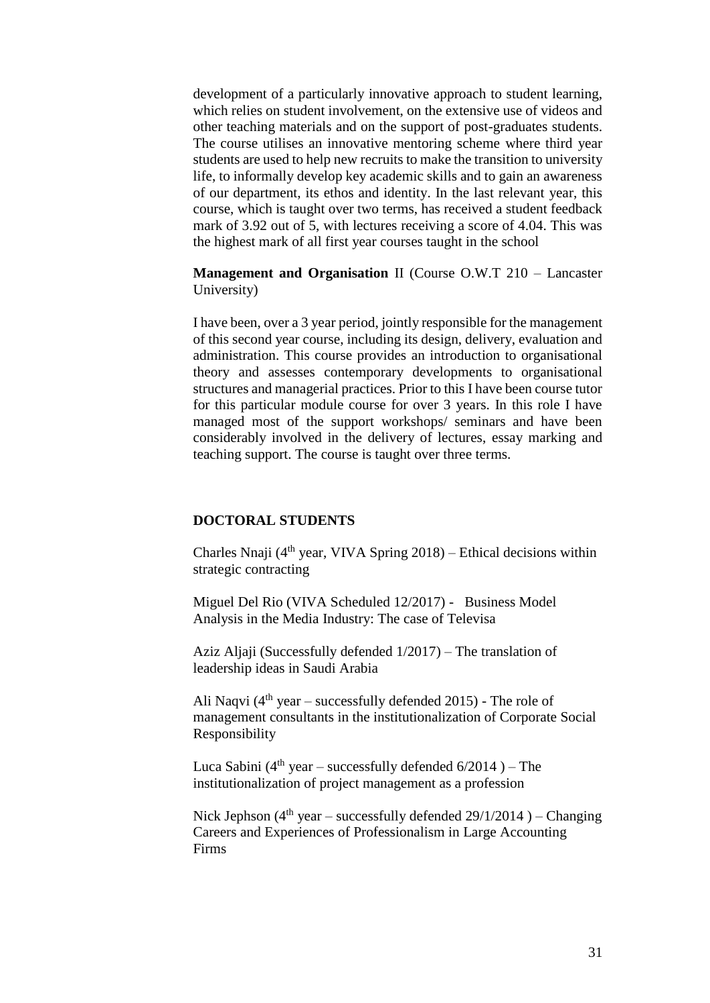development of a particularly innovative approach to student learning, which relies on student involvement, on the extensive use of videos and other teaching materials and on the support of post-graduates students. The course utilises an innovative mentoring scheme where third year students are used to help new recruits to make the transition to university life, to informally develop key academic skills and to gain an awareness of our department, its ethos and identity. In the last relevant year, this course, which is taught over two terms, has received a student feedback mark of 3.92 out of 5, with lectures receiving a score of 4.04. This was the highest mark of all first year courses taught in the school

**Management and Organisation** II (Course O.W.T 210 – Lancaster University)

I have been, over a 3 year period, jointly responsible for the management of this second year course, including its design, delivery, evaluation and administration. This course provides an introduction to organisational theory and assesses contemporary developments to organisational structures and managerial practices. Prior to this I have been course tutor for this particular module course for over 3 years. In this role I have managed most of the support workshops/ seminars and have been considerably involved in the delivery of lectures, essay marking and teaching support. The course is taught over three terms.

### **DOCTORAL STUDENTS**

Charles Nnaji  $(4<sup>th</sup>$  year, VIVA Spring 2018) – Ethical decisions within strategic contracting

Miguel Del Rio (VIVA Scheduled 12/2017) - Business Model Analysis in the Media Industry: The case of Televisa

Aziz Aljaji (Successfully defended 1/2017) – The translation of leadership ideas in Saudi Arabia

Ali Naqvi ( $4<sup>th</sup>$  year – successfully defended 2015) - The role of management consultants in the institutionalization of Corporate Social Responsibility

Luca Sabini ( $4<sup>th</sup>$  year – successfully defended  $6/2014$ ) – The institutionalization of project management as a profession

Nick Jephson  $(4<sup>th</sup>$  year – successfully defended 29/1/2014 ) – Changing Careers and Experiences of Professionalism in Large Accounting Firms